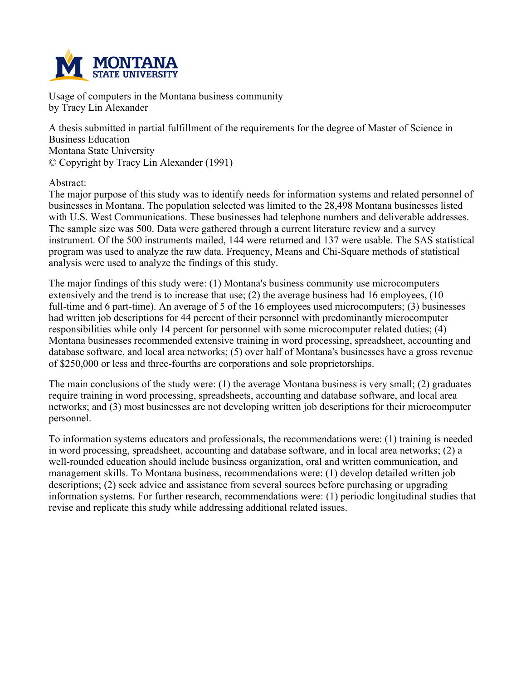

**Usage of computers in the Montana business community by Tracy Lin Alexander**

**A thesis submitted in partial fulfillment of the requirements for the degree of Master of Science in Business Education Montana State University © Copyright by Tracy Lin Alexander (1991)**

**Abstract:**

**The major purpose of this study was to identify needs for information systems and related personnel of businesses in Montana. The population selected was limited to the 28,498 Montana businesses listed with U.S. West Communications. These businesses had telephone numbers and deliverable addresses. The sample size was 500. Data were gathered through a current literature review and a survey instrument. Of the 500 instruments mailed, 144 were returned and 137 were usable. The SAS statistical program was used to analyze the raw data. Frequency, Means and Chi-Square methods of statistical analysis were used to analyze the findings of this study.**

**The major findings of this study were: (1) Montana's business community use microcomputers extensively and the trend is to increase that use; (2) the average business had 16 employees, (10 full-time and 6 part-time). An average of 5 of the 16 employees used microcomputers; (3) businesses had written job descriptions for 44 percent of their personnel with predominantly microcomputer responsibilities while only 14 percent for personnel with some microcomputer related duties; (4) Montana businesses recommended extensive training in word processing, spreadsheet, accounting and database software, and local area networks; (5) over half of Montana's businesses have a gross revenue of \$250,000 or less and three-fourths are corporations and sole proprietorships.**

**The main conclusions of the study were: (1) the average Montana business is very small; (2) graduates require training in word processing, spreadsheets, accounting and database software, and local area networks; and (3) most businesses are not developing written job descriptions for their microcomputer personnel.**

**To information systems educators and professionals, the recommendations were: (1) training is needed in word processing, spreadsheet, accounting and database software, and in local area networks; (2) a well-rounded education should include business organization, oral and written communication, and management skills. To Montana business, recommendations were: (1) develop detailed written job descriptions; (2) seek advice and assistance from several sources before purchasing or upgrading information systems. For further research, recommendations were: (1) periodic longitudinal studies that revise and replicate this study while addressing additional related issues.**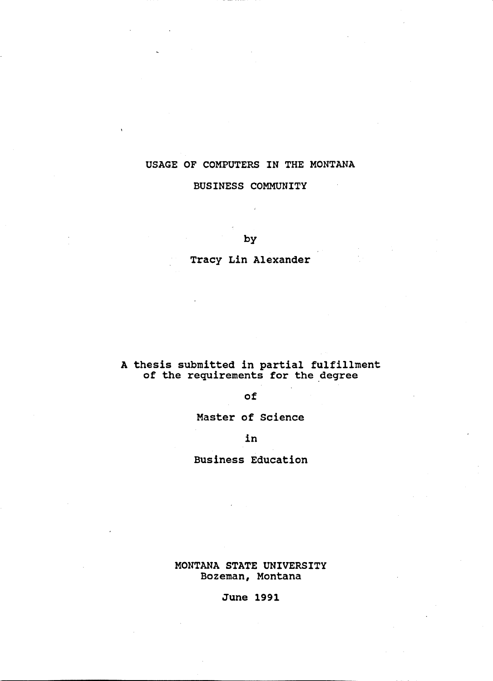# USAGE OF COMPUTERS IN THE MONTANA

## BUSINESS COMMUNITY

by

Tracy Lin Alexander

# A thesis submitted in partial fulfillment<br>of the requirements for the degree

## of

Master of Science

in

**Business Education** 

MONTANA STATE UNIVERSITY Bozeman, Montana

**June 1991**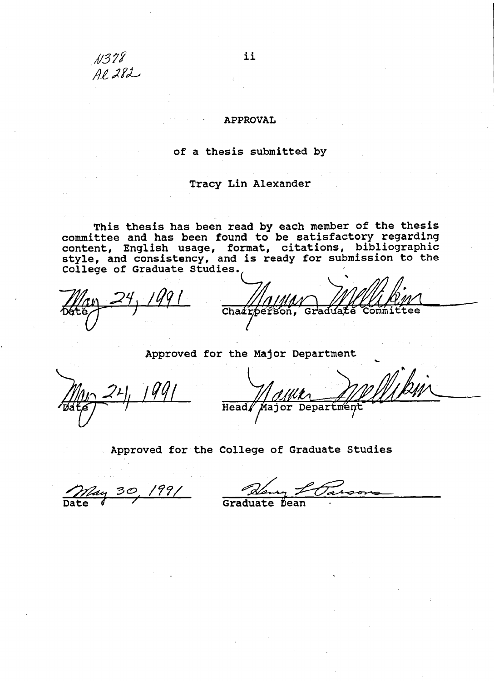## **APPROVAL**

## of a thesis submitted by

## Tracy Lin Alexander

This thesis has been read by each member of the thesis<br>committee and has been found to be satisfactory regarding<br>content, English usage, format, citations, bibliographic<br>style, and consistency, and is ready for submission

Chairperson, ttee. Gr

Approved for the Major Department

Department **Head** or

# Approved for the College of Graduate Studies

99,

Graduate Dean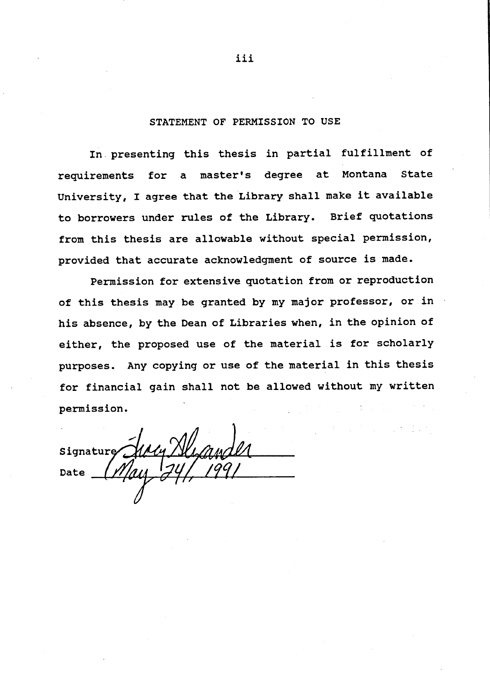## STATEMENT OF PERMISSION TO USE

In presenting this thesis in partial fulfillment of requirements for a master's degree at Montana State University, I agree that the Library shall make it available to borrowers under rules of the Library. Brief quotations from this thesis are allowable without special permission, provided that accurate acknowledgment of source is made.

Permission for extensive quotation from or reproduction of this thesis may be granted by my major professor, or in his absence, by the Dean of Libraries when, in the opinion of either, the proposed use of the material is for scholarly purposes. Any copying or use of the material in this thesis for financial gain shall not be allowed without my written permission.

Signature Date

iii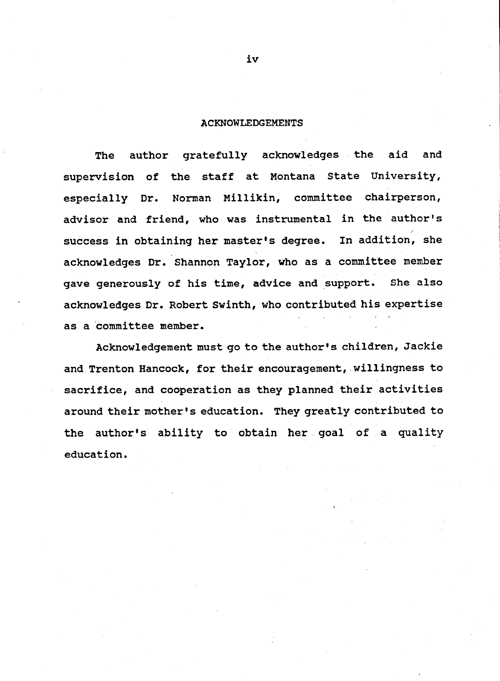#### **ACKNOWLEDGEMENTS**

author gratefully acknowledges the aid and **The** supervision of the staff at Montana State University, especially Dr. Norman Millikin, committee chairperson, advisor and friend, who was instrumental in the author's success in obtaining her master's degree. In addition, she acknowledges Dr. Shannon Taylor, who as a committee member gave generously of his time, advice and support. She also acknowledges Dr. Robert Swinth, who contributed his expertise as a committee member.

Acknowledgement must go to the author's children, Jackie and Trenton Hancock, for their encouragement, willingness to sacrifice, and cooperation as they planned their activities around their mother's education. They greatly contributed to the author's ability to obtain her goal of a quality education.

iv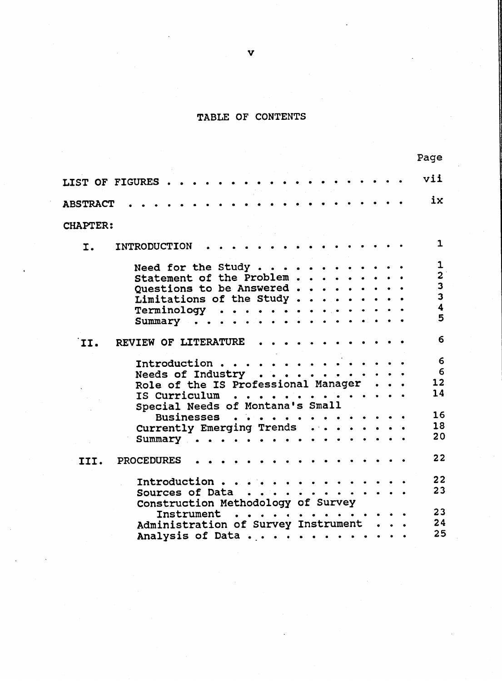# TABLE OF CONTENTS

|                 |                                     | rage                    |
|-----------------|-------------------------------------|-------------------------|
|                 | .<br>LIST OF FIGURES                | vii                     |
| <b>ABSTRACT</b> |                                     | ix                      |
|                 |                                     |                         |
| <b>CHAPTER:</b> |                                     |                         |
| I.              | INTRODUCTION                        | $\mathbf{1}$            |
|                 | Need for the Study                  | $\mathbf 1$             |
|                 | Statement of the Problem            | $\overline{\mathbf{c}}$ |
|                 | Questions to be Answered            | $\overline{\mathbf{3}}$ |
|                 | Limitations of the Study            | $\overline{\mathbf{3}}$ |
|                 | Terminology                         | $\overline{\mathbf{4}}$ |
|                 | Summary $\cdots$                    | 5                       |
|                 |                                     |                         |
| II.             | REVIEW OF LITERATURE                | 6                       |
|                 | Introduction                        | 6                       |
|                 | Needs of Industry                   | 6                       |
|                 | Role of the IS Professional Manager | 12                      |
|                 |                                     | 14                      |
|                 | IS Curriculum                       |                         |
|                 | Special Needs of Montana's Small    |                         |
|                 | Businesses                          | 16                      |
|                 | Currently Emerging Trends           | 18                      |
|                 | Summary                             | 20                      |
| III.            | <b>PROCEDURES</b>                   | 22                      |
|                 | Introduction                        | 22                      |
|                 | Sources of Data                     | 23                      |
|                 | Construction Methodology of Survey  |                         |
|                 | <b>Instrument</b><br>.              | 23                      |
|                 |                                     | 24                      |
|                 | Administration of Survey Instrument |                         |
|                 | Analysis of Data                    | 25                      |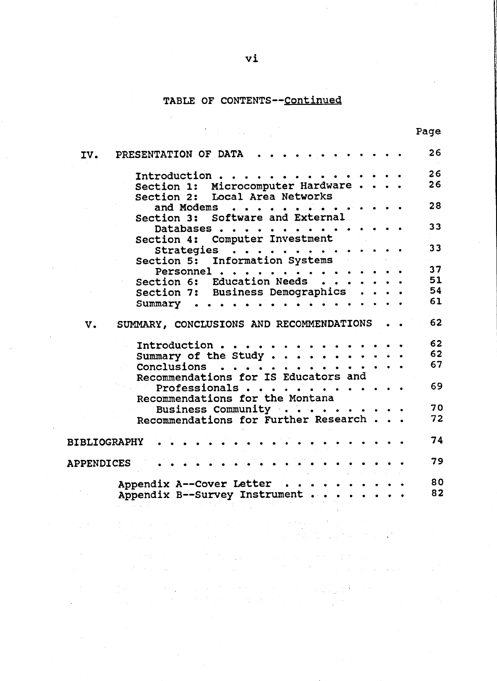# TABLE OF CONTENTS--Continued

|                                                                                                         |  | Page     |
|---------------------------------------------------------------------------------------------------------|--|----------|
| PRESENTATION OF DATA<br>IV.                                                                             |  | 26       |
| Introduction<br>Section 1: Microcomputer Hardware                                                       |  | 26<br>26 |
| Section 2: Local Area Networks                                                                          |  |          |
| and Modems                                                                                              |  | 28       |
| Section 3: Software and External                                                                        |  | 33       |
| Databases.<br>and a state<br>Section 4: Computer Investment                                             |  |          |
| Strategies                                                                                              |  | 33       |
| Section 5: Information Systems                                                                          |  |          |
| Personnel.<br>$\ddot{\bullet}$<br>$\bullet \qquad \bullet \qquad \bullet \qquad \bullet \qquad \bullet$ |  | 37       |
| Section 6: Education Needs                                                                              |  | 51       |
| Section 7: Business Demographics                                                                        |  | 54       |
| .<br>Summary                                                                                            |  | 61       |
| SUMMARY, CONCLUSIONS AND RECOMMENDATIONS<br>v.                                                          |  | 62       |
| Introduction                                                                                            |  | 62       |
| Summary of the Study.                                                                                   |  | 62       |
| .<br>Conclusions                                                                                        |  | 67       |
| Recommendations for IS Educators and                                                                    |  |          |
| .<br>Professionals                                                                                      |  | 69       |
| Recommendations for the Montana                                                                         |  |          |
| Business Community                                                                                      |  | 70       |
| Recommendations for Further Research                                                                    |  | 72       |
| <b>BIBLIOGRAPHY</b>                                                                                     |  | 74       |
| <b>APPENDICES</b>                                                                                       |  | 79       |
| Appendix A--Cover Letter                                                                                |  | 80       |
| Appendix B--Survey Instrument                                                                           |  | 82       |
|                                                                                                         |  |          |

 $\label{eq:1.1} \mathcal{L}_{\mathcal{A}}(\mathcal{A},\mathcal{L}_{\mathcal{A}}) = \mathcal{L}_{\mathcal{A}}(\mathcal{A},\mathcal{L}_{\mathcal{A}}) = \mathcal{L}_{\mathcal{A}}(\mathcal{A},\mathcal{L}_{\mathcal{A}})$ 

 $\sim$   $\sim$ 

 $\mathcal{L}^{\text{max}}_{\text{max}}$  ,  $\mathcal{L}^{\text{max}}_{\text{max}}$ 

ng la

 $\label{eq:3.1} \frac{1}{\sqrt{2\pi}}\frac{1}{\sqrt{2\pi}}\int_{0}^{\infty}\frac{1}{\sqrt{2\pi}}\left(\frac{1}{\sqrt{2\pi}}\int_{0}^{\infty}\frac{1}{\sqrt{2\pi}}\left(\frac{1}{\sqrt{2\pi}}\int_{0}^{\infty}\frac{1}{\sqrt{2\pi}}\frac{1}{\sqrt{2\pi}}\right)\frac{1}{\sqrt{2\pi}}\frac{1}{\sqrt{2\pi}}\frac{1}{\sqrt{2\pi}}\frac{1}{\sqrt{2\pi}}\frac{1}{\sqrt{2\pi}}\frac{1}{\sqrt{2\pi}}\frac{1}{\sqrt{2\$ 

 $\mathcal{A}^{\mathcal{A}}$ 

 $\Delta \sim 10^{-12}$ 

 $\sim$ 

and the government

 $\sim$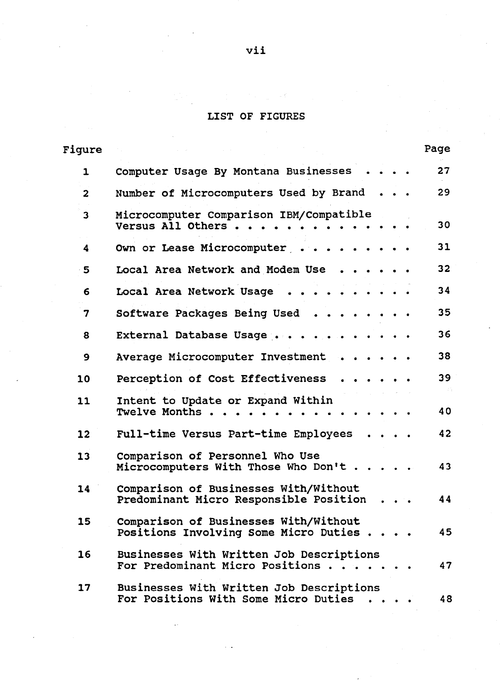# LIST OF FIGURES

| Figure       |                                                                                  | Page |
|--------------|----------------------------------------------------------------------------------|------|
| 1            | Computer Usage By Montana Businesses                                             | 27   |
| $\mathbf{2}$ | Number of Microcomputers Used by Brand                                           | 29   |
| 3            | Microcomputer Comparison IBM/Compatible<br>Versus All Others.                    | 30   |
| 4            | Own or Lease Microcomputer                                                       | 31   |
| 5            | Local Area Network and Modem Use                                                 | 32   |
| 6.           | Local Area Network Usage                                                         | 34   |
| 7            | Software Packages Being Used                                                     | 35   |
| 8            | External Database Usage                                                          | 36   |
| 9            | Average Microcomputer Investment                                                 | 38   |
| 10           | Perception of Cost Effectiveness                                                 | 39   |
| 11           | Intent to Update or Expand Within<br>Twelve Months                               | 40   |
| 12           | Full-time Versus Part-time Employees                                             | 42   |
| 13           | Comparison of Personnel Who Use<br>Microcomputers With Those Who Don't.          | 43   |
| 14           | Comparison of Businesses With/Without<br>Predominant Micro Responsible Position  | 44   |
| 15           | Comparison of Businesses With/Without<br>Positions Involving Some Micro Duties.  | 45   |
| 16           | Businesses With Written Job Descriptions<br>For Predominant Micro Positions      | 47   |
| 17           | Businesses With Written Job Descriptions<br>For Positions With Some Micro Duties | 48   |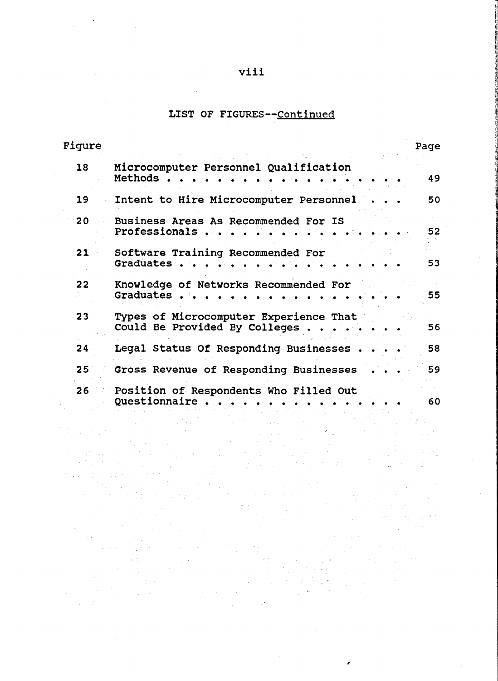## viii

## LIST OF FIGURES--Continued

| <b>Figure</b> |                                                                         | Page |
|---------------|-------------------------------------------------------------------------|------|
| 18            | Microcomputer Personnel Qualification<br>Methods                        | 49   |
| 19            | Intent to Hire Microcomputer Personnel                                  | 50   |
| 20            | Business Areas As Recommended For IS<br>Professionals.                  | 52   |
| 21            | Software Training Recommended For<br>Graduates.                         | 53   |
| 22            | Knowledge of Networks Recommended For<br>Graduates                      | 55   |
| 23            | Types of Microcomputer Experience That<br>Could Be Provided By Colleges | 56   |
| 24            | Legal Status Of Responding Businesses.                                  | 58   |
| 25            | Gross Revenue of Responding Businesses                                  | 59   |
| 26            | Position of Respondents Who Filled Out<br>Questionnaire.                | 60   |
|               |                                                                         |      |
|               |                                                                         |      |

i<br>Listo kontrolle

 $\mathcal{L}$ 

 $\mathcal{L}(\mathcal{A})$  and  $\mathcal{L}(\mathcal{A})$  and  $\mathcal{L}(\mathcal{A})$  and

 $\mathcal{P}_{\mathcal{A}}$ 

 $\mathcal{A}^{(2)}=\mathcal{A}^{(2)}\mathcal{A}^{(2)}$ 

 $\epsilon_{\rm{max}}$  ,  $\epsilon_{\rm{max}}$ 

 $\sim 10^{-1}$   $^{-1}$ 

 $\frac{1}{2} \frac{1}{2} \frac{1}{2} \frac{1}{2} \frac{1}{2} \frac{1}{2} \frac{1}{2} \frac{1}{2}$ 

 $\frac{1}{2}$  , we set

a na matangan<br>Kabupatèn Tanggaling Kabupatèn

 $\sim$ 

 $\sim 10^7$ 

 $\mathcal{P}_{\text{max}}$ 

ina<br>Salah Salah Sulawa<br>Maan di Salah Sulawa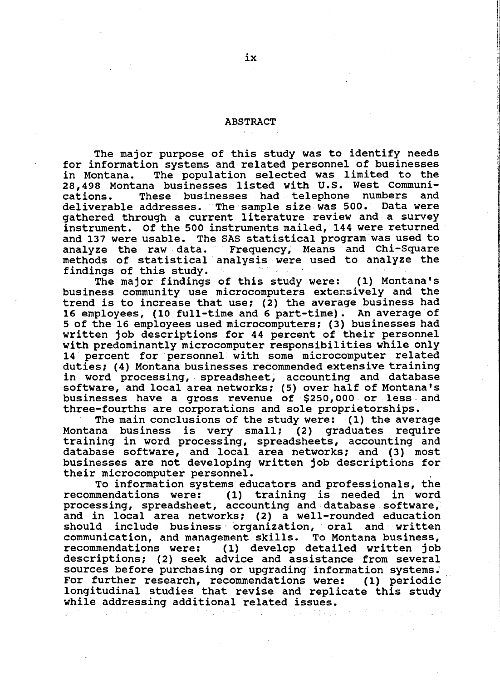#### **ABSTRACT**

The major purpose of this study was to identify needs for information systems and related personnel of businesses The population selected was limited to the in Montana. 28,498 Montana businesses listed with U.S. West Communi-These businesses had telephone numbers and cations. deliverable addresses. The sample size was 500. Data were gathered through a current literature review and a survey instrument. Of the 500 instruments mailed, 144 were returned and 137 were usable. The SAS statistical program was used to Frequency, Means and Chi-Square analyze the raw data. methods of statistical analysis were used to analyze the findings of this study.

The major findings of this study were: (1) Montana's business community use microcomputers extensively and the trend is to increase that use; (2) the average business had 16 employees, (10 full-time and 6 part-time). An average of 5 of the 16 employees used microcomputers; (3) businesses had written job descriptions for 44 percent of their personnel with predominantly microcomputer responsibilities while only 14 percent for personnel with some microcomputer related duties; (4) Montana businesses recommended extensive training in word processing, spreadsheet, accounting and database software, and local area networks; (5) over half of Montana's businesses have a gross revenue of \$250,000 or less and three-fourths are corporations and sole proprietorships.

The main conclusions of the study were: (1) the average Montana business is very small; (2) graduates require training in word processing, spreadsheets, accounting and database software, and local area networks; and (3) most businesses are not developing written job descriptions for their microcomputer personnel.

To information systems educators and professionals, the recommendations were: (1) training is needed in word processing, spreadsheet, accounting and database software, and in local area networks; (2) a well-rounded education include business organization, oral and written should communication, and management skills. To Montana business. (1) develop detailed written job recommendations were: descriptions; (2) seek advice and assistance from several sources before purchasing or upgrading information systems. For further research, recommendations were: (1) periodic longitudinal studies that revise and replicate this study while addressing additional related issues.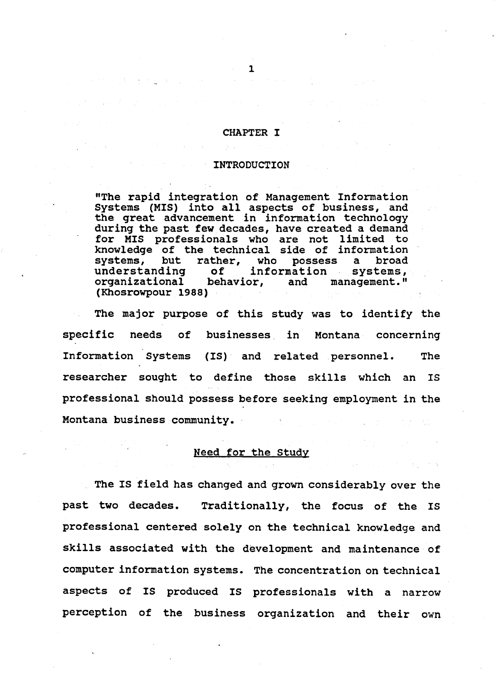#### **CHAPTER I**

#### **INTRODUCTION**

"The rapid integration of Management Information Systems (MIS) into all aspects of business, and the great advancement in information technology during the past few decades, have created a demand for MIS professionals who are not limited to<br>knowledge of the technical side of information systems, but rather, broad who possess  $\mathbf{a}$ understanding of. information systems, organizational behavior, and management." (Khosrowpour 1988)

The major purpose of this study was to identify the specific needs businesses in of Montana concerning Information Systems (IS) and related personnel. **The** researcher sought to define those skills which an **TS** professional should possess before seeking employment in the Montana business community.

## Need for the Study

The IS field has changed and grown considerably over the past two decades. Traditionally, the focus of the IS professional centered solely on the technical knowledge and skills associated with the development and maintenance of computer information systems. The concentration on technical aspects of IS produced IS professionals with a narrow perception of the business organization and their own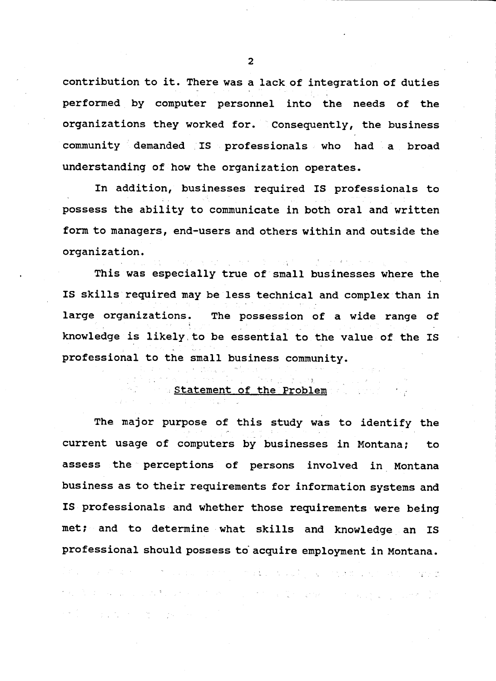contribution to it. There was a lack of integration of duties performed by computer personnel into the needs of the organizations they worked for. Consequently, the business community demanded IS professionals who had a broad understanding of how the organization operates.

In addition, businesses required IS professionals to possess the ability to communicate in both oral and written form to managers, end-users and others within and outside the organization.

This was especially true of small businesses where the IS skills required may be less technical and complex than in large organizations. The possession of a wide range of knowledge is likely to be essential to the value of the IS professional to the small business community.

## Statement of the Problem

The major purpose of this study was to identify the current usage of computers by businesses in Montana; to. assess the perceptions of persons involved in Montana business as to their requirements for information systems and IS professionals and whether those requirements were being met; and to determine what skills and knowledge an IS professional should possess to acquire employment in Montana.  $\mathbb{P}(\mathbb{P}^n)$  is a strict of the set of the starting  $\mathcal{A}_\mathcal{L}$  ,  $\mathcal{A}_\mathcal{L}$  , is the function of the starting  $\mathcal{A}_\mathcal{L}$ in de la capacidade de la contrada de la constitución de la capacidad de la capacidad de la constitución de la

**一般, 而且可能的**, 而是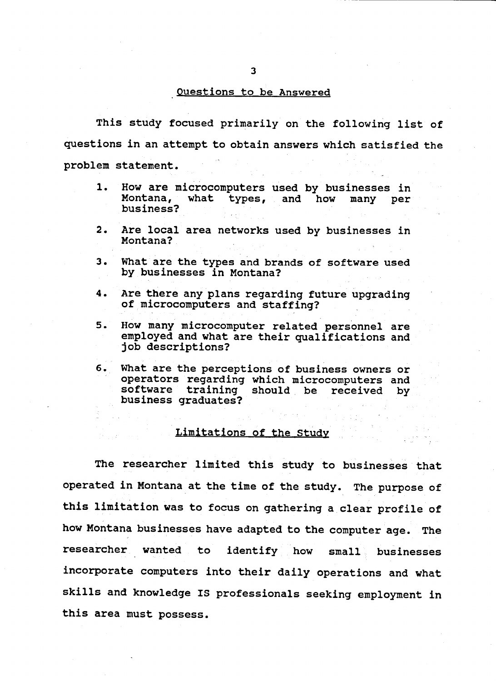## Questions to be Answered

This study focused primarily on the following list of questions in an attempt to obtain answers which satisfied the problem statement.

- $1.$ How are microcomputers used by businesses in Montana, what types, and how many per business?
- $2.$ Are local area networks used by businesses in Montana?
- з. What are the types and brands of software used by businesses in Montana?
- 4. Are there any plans regarding future upgrading of microcomputers and staffing?
- 5. How many microcomputer related personnel are employed and what are their qualifications and job descriptions?
- 6. What are the perceptions of business owners or operators regarding which microcomputers and software training should be received by business graduates?

## Limitations of the Study

The researcher limited this study to businesses that operated in Montana at the time of the study. The purpose of this limitation was to focus on gathering a clear profile of how Montana businesses have adapted to the computer age. The researcher wanted identify how to.  $small$ businesses incorporate computers into their daily operations and what skills and knowledge IS professionals seeking employment in this area must possess.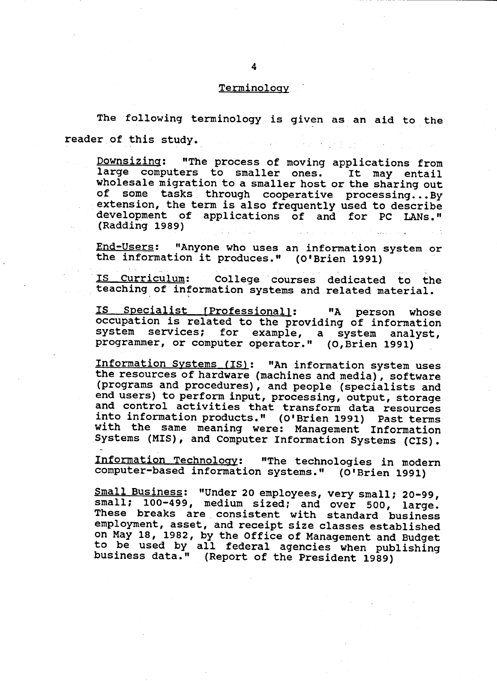#### Terminology

The following terminology is given as an aid to the reader of this study. المتواريخ والمراجعات

Downsizing: "The process of moving applications from large computers to smaller ones. It may entail wholesale migration to a smaller host or the sharing out of some tasks through cooperative processing...By extension, the term is also frequently used to describe development of applications of and for PC LANs." (Radding 1989)

<u> End-Users</u>: "Anyone who uses an information system or the information it produces." (O'Brien 1991)

IS Curriculum: College courses dedicated to the teaching of information systems and related material.

IS Specialist [Professional]: "A person whose occupation is related to the providing of information system services; for example, a system analyst, programmer, or computer operator." (O, Brien 1991)

Information Systems (IS): "An information system uses the resources of hardware (machines and media), software (programs and procedures), and people (specialists and end users) to perform input, processing, output, storage and control activities that transform data resources into information products." (O'Brien 1991) Past terms with the same meaning were: Management Information Systems (MIS), and Computer Information Systems (CIS).

Information Technology: "The technologies in modern computer-based information systems." (O'Brien 1991)

Small Business: "Under 20 employees, very small; 20-99, small; 100-499, medium sized; and over 500, large. These breaks are consistent with standard business employment, asset, and receipt size classes established on May 18, 1982, by the Office of Management and Budget<br>to be used by all federal agencies when publishing<br>business data." (Report of the President 1989)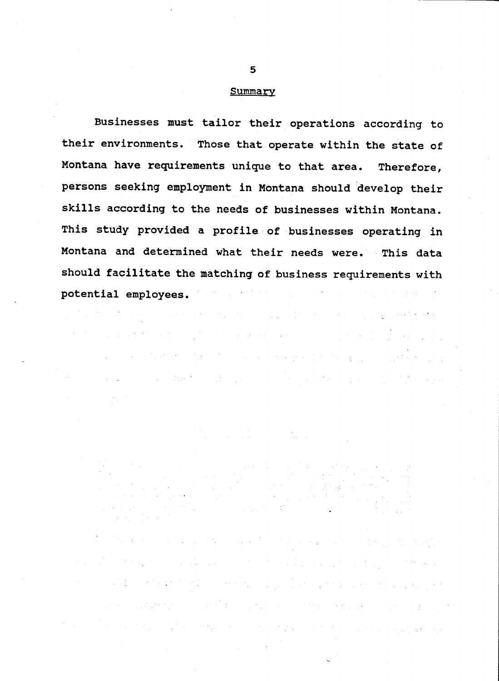#### Summary

Businesses must tailor their operations according to their environments. Those that operate within the state of Montana have requirements unique to that area. Therefore, persons seeking employment in Montana should develop their skills according to the needs of businesses within Montana. This study provided a profile of businesses operating in Montana and determined what their needs were. This data should facilitate the matching of business requirements with potential employees.

。<br>"我们的人们,我们不要想的人们,我们的人们,我们的人们也不会有什么?" "我们的人们的人们,我们也不会有什么?"

 $\mathcal{L}^{\text{max}}_{\text{max}}$  ,  $\mathcal{L}^{\text{max}}_{\text{max}}$  ,  $\mathcal{L}^{\text{max}}_{\text{max}}$ 

的复数 网络阿拉伯 化乙基二乙基 医心包 医心包 医心包 医心包 医心包 医心包 医心包 医心包 医心包

and a constant of the constitution of the constant of the constant of the constant of the constant of the const<br>The constant of the constant of the constant of the constant of the constant of the constant of the constant o

a contra de la contra de la contrada de la contrada de la contrada de la contrada de la contrada de la contrad

 $\mathcal{A}=\mathcal{A}(\mathcal{A})$ 

a televizione di la provincia di la provincia di la provincia della provincia della provincia della provincia<br>La provincia della provincia della provincia della provincia della provincia della provincia della provincia d

a service to the problem of the top of the company of the transformation

and the first state of the state of the problem in the same in the state of the state of the state of the state of the state of the state of the state of the state of the state of the state of the state of the state of the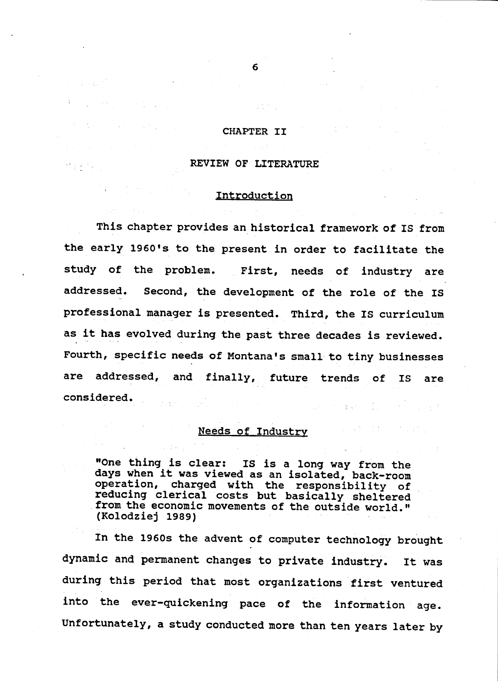#### CHAPTER II

## REVIEW OF LITERATURE

## Introduction

This chapter provides an historical framework of IS from the early 1960's to the present in order to facilitate the study of the problem. First, needs of industry are Second, the development of the role of the IS addressed. professional manager is presented. Third, the IS curriculum as it has evolved during the past three decades is reviewed. Fourth, specific needs of Montana's small to tiny businesses are addressed, and finally, future trends of **IS** are considered.  $\sum_{\mathbf{k}\in\mathcal{K}}\mathbf{q}^{(1)}$  .

## Needs of Industry

"One thing is clear: IS is a long way from the days when it was viewed as an isolated, back-room operation, charged with the responsibility of reducing clerical costs but basically sheltered from the economic movements of the outside world." (Kolodziej 1989)

In the 1960s the advent of computer technology brought dynamic and permanent changes to private industry. It was during this period that most organizations first ventured into the ever-quickening pace of the information age. Unfortunately, a study conducted more than ten years later by

6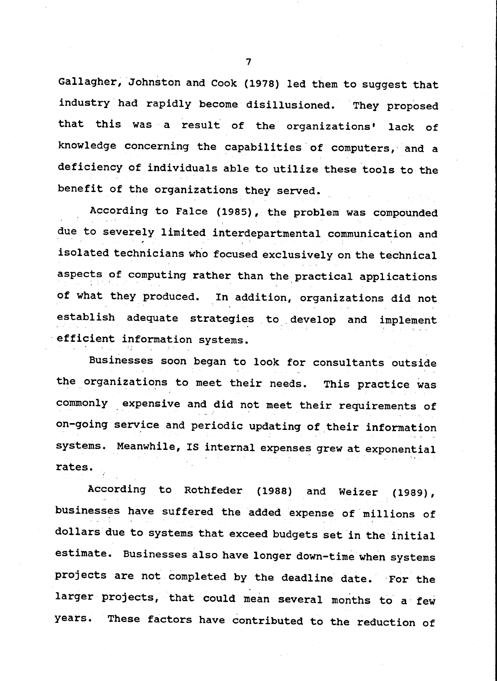Gallagher, Johnston and Cook (1978) led them to suggest that industry had rapidly become disillusioned. They proposed that this was a result of the organizations' lack of knowledge concerning the capabilities of computers, and a deficiency of individuals able to utilize these tools to the benefit of the organizations they served.

According to Falce (1985), the problem was compounded due to severely limited interdepartmental communication and isolated technicians who focused exclusively on the technical aspects of computing rather than the practical applications of what they produced. In addition, organizations did not establish adequate strategies to develop and implement efficient information systems.

Businesses soon began to look for consultants outside the organizations to meet their needs. This practice was commonly expensive and did not meet their requirements of on-going service and periodic updating of their information systems. Meanwhile, IS internal expenses grew at exponential rates.

According to Rothfeder  $(1988)$ and Weizer  $(1989)$ , businesses have suffered the added expense of millions of dollars due to systems that exceed budgets set in the initial estimate. Businesses also have longer down-time when systems projects are not completed by the deadline date. For the larger projects, that could mean several months to a few These factors have contributed to the reduction of years.

 $\overline{7}$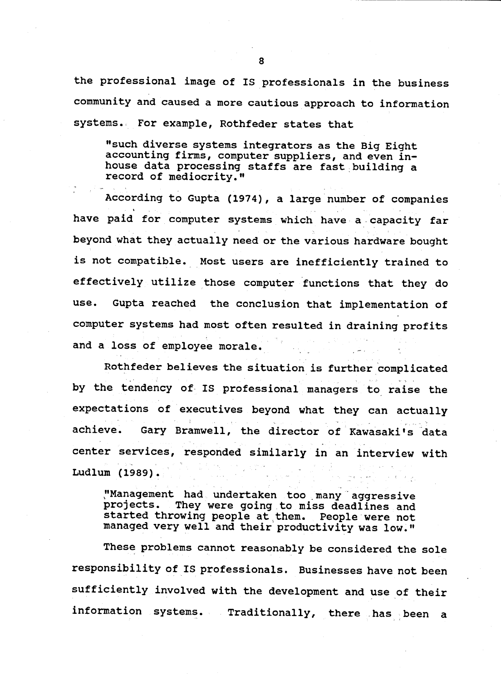the professional image of IS professionals in the business community and caused a more cautious approach to information systems. For example, Rothfeder states that

"such diverse systems integrators as the Big Eight accounting firms, computer suppliers, and even inhouse data processing staffs are fast building a record of mediocrity."

According to Gupta (1974), a large number of companies have paid for computer systems which have a capacity far beyond what they actually need or the various hardware bought is not compatible. Most users are inefficiently trained to effectively utilize those computer functions that they do Gupta reached the conclusion that implementation of use. computer systems had most often resulted in draining profits and a loss of employee morale.

Rothfeder believes the situation is further complicated by the tendency of IS professional managers to raise the expectations of executives beyond what they can actually achieve. Gary Bramwell, the director of Kawasaki's data center services, responded similarly in an interview with Ludlum (1989).

"Management had undertaken too many aggressive They were going to miss deadlines and projects. started throwing people at them. People were not managed very well and their productivity was low."

These problems cannot reasonably be considered the sole responsibility of IS professionals. Businesses have not been sufficiently involved with the development and use of their information systems. Traditionally, there has been a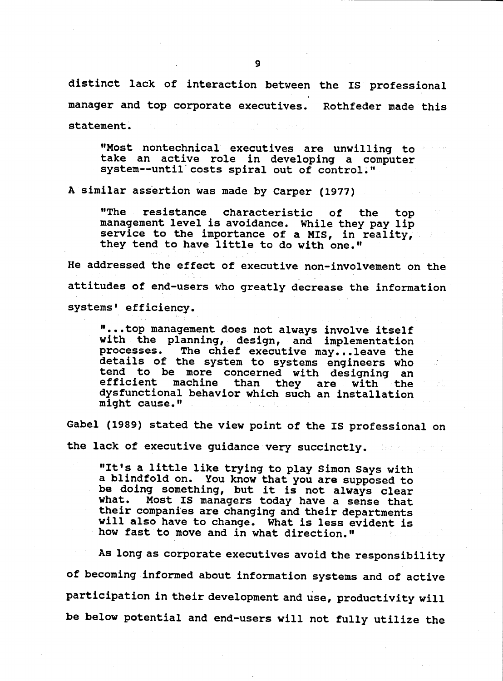distinct lack of interaction between the IS professional manager and top corporate executives. Rothfeder made this statement.

"Most nontechnical executives are unwilling to take an active role in developing a computer system--until costs spiral out of control."

A similar assertion was made by Carper (1977)

"The resistance characteristic of the top management level is avoidance. While they pay lip service to the importance of a MIS, in reality, they tend to have little to do with one."

He addressed the effect of executive non-involvement on the attitudes of end-users who greatly decrease the information systems' efficiency.

"...top management does not always involve itself with the planning, design, and implementation The chief executive may...leave the processes. details of the system to systems engineers who<br>tend to be more concerned with designing an<br>efficient machine than they are with the dysfunctional behavior which such an installation might cause."

Gabel (1989) stated the view point of the IS professional on the lack of executive guidance very succinctly.

"It's a little like trying to play Simon Says with a blindfold on. You know that you are supposed to be doing something, but it is not always clear Most IS managers today have a sense that what. their companies are changing and their departments will also have to change. What is less evident is how fast to move and in what direction."

As long as corporate executives avoid the responsibility of becoming informed about information systems and of active participation in their development and use, productivity will be below potential and end-users will not fully utilize the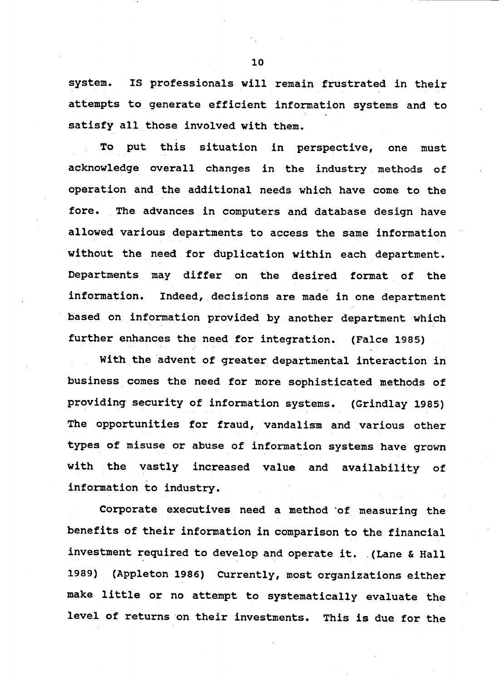system. IS professionals will remain frustrated in their attempts to generate efficient information systems and to satisfy all those involved with them.

put this situation in perspective, one must To acknowledge overall changes in the industry methods of operation and the additional needs which have come to the fore. The advances in computers and database design have allowed various departments to access the same information without the need for duplication within each department. Departments may differ on the desired format of the information. Indeed, decisions are made in one department based on information provided by another department which further enhances the need for integration. (Falce 1985)

With the advent of greater departmental interaction in business comes the need for more sophisticated methods of providing security of information systems. (Grindlay 1985) The opportunities for fraud, vandalism and various other types of misuse or abuse of information systems have grown with the vastly increased value and availability of information to industry.

Corporate executives need a method of measuring the benefits of their information in comparison to the financial investment required to develop and operate it. (Lane & Hall (Appleton 1986) Currently, most organizations either 1989) make little or no attempt to systematically evaluate the level of returns on their investments. This is due for the

10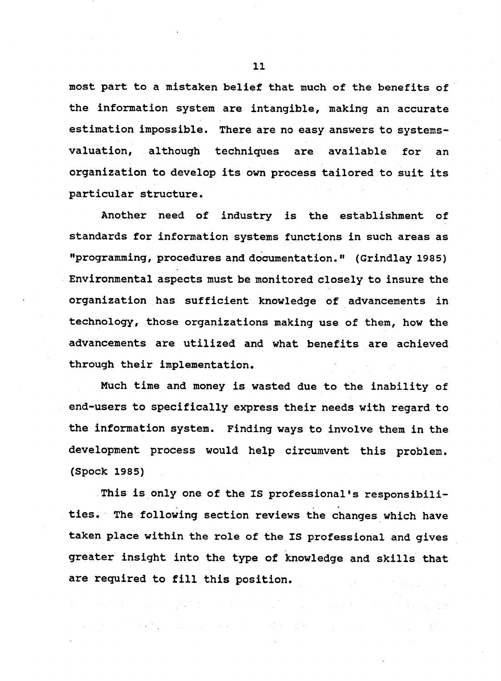most part to a mistaken belief that much of the benefits of the information system are intangible, making an accurate estimation impossible. There are no easy answers to systemsvaluation, although techniques are available for an organization to develop its own process tailored to suit its particular structure.

Another need of industry is the establishment of standards for information systems functions in such areas as "programming, procedures and documentation." (Grindlay 1985) Environmental aspects must be monitored closely to insure the organization has sufficient knowledge of advancements in technology, those organizations making use of them, how the advancements are utilized and what benefits are achieved through their implementation.

Much time and money is wasted due to the inability of end-users to specifically express their needs with regard to the information system. Finding ways to involve them in the development process would help circumvent this problem. (Spock 1985)

This is only one of the IS professional's responsibilities. The following section reviews the changes which have taken place within the role of the IS professional and gives greater insight into the type of knowledge and skills that are required to fill this position.

 $\mathcal{F}^{\mathcal{A}}_{\mathcal{A}}$  and the contribution of the contribution of the contribution of the contribution of the contribution of the contribution of the contribution of the contribution of the contribution of the contributi

 $11$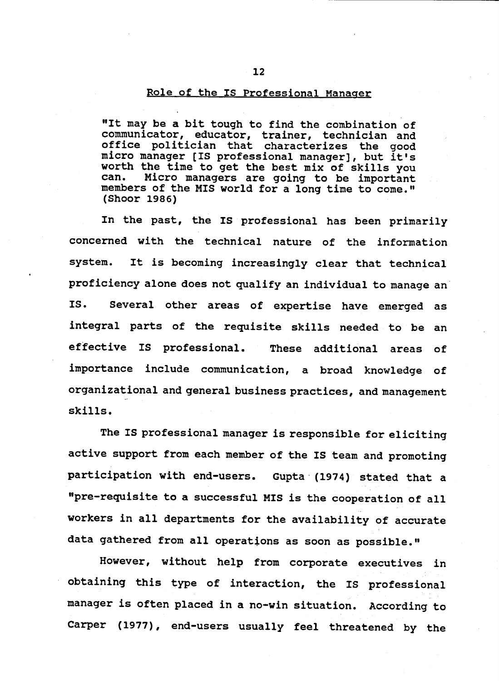## Role of the IS Professional Manager

"It may be a bit tough to find the combination of communicator, educator, trainer, technician and<br>office politician that characterizes the good micro manager [IS professional manager], but it's worth the time to get the best mix of skills you Micro managers are going to be important can. members of the MIS world for a long time to come." (Shoor 1986)

In the past, the IS professional has been primarily concerned with the technical nature of the information It is becoming increasingly clear that technical system. proficiency alone does not qualify an individual to manage an Several other areas of expertise have emerged as IS. integral parts of the requisite skills needed to be an effective IS professional. These additional areas of importance include communication, a broad knowledge of organizational and general business practices, and management skills.

The IS professional manager is responsible for eliciting active support from each member of the IS team and promoting participation with end-users. Gupta (1974) stated that a "pre-requisite to a successful MIS is the cooperation of all workers in all departments for the availability of accurate data gathered from all operations as soon as possible."

However, without help from corporate executives in obtaining this type of interaction, the IS professional manager is often placed in a no-win situation. According to Carper (1977), end-users usually feel threatened by the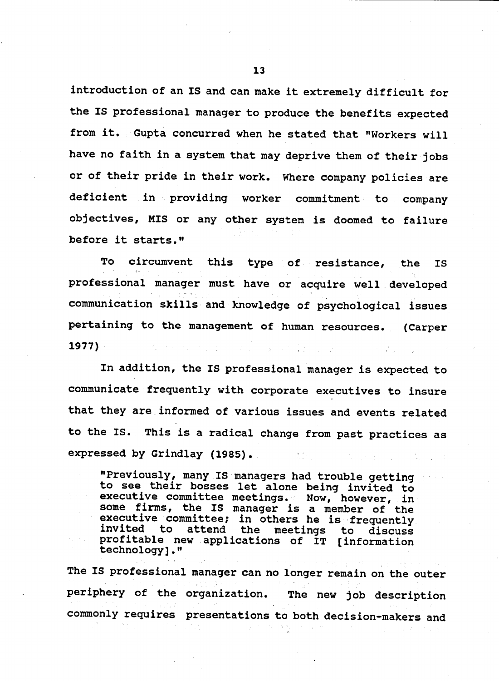introduction of an IS and can make it extremely difficult for the IS professional manager to produce the benefits expected from it. Gupta concurred when he stated that "Workers will have no faith in a system that may deprive them of their jobs or of their pride in their work. Where company policies are deficient in providing worker commitment to company objectives, MIS or any other system is doomed to failure before it starts."

To circumvent this type of resistance, the **IS** professional manager must have or acquire well developed communication skills and knowledge of psychological issues pertaining to the management of human resources. (Carper  $1977$ )

In addition, the IS professional manager is expected to communicate frequently with corporate executives to insure that they are informed of various issues and events related to the IS. This is a radical change from past practices as expressed by Grindlay (1985).

"Previously, many IS managers had trouble getting to see their bosses let alone being invited to executive committee meetings. Now, however, in some firms, the IS manager is a member of the executive committee; in others he is frequently invited to attend the meetings to discuss profitable new applications of IT [information technology]."

The IS professional manager can no longer remain on the outer periphery of the organization. The new job description commonly requires presentations to both decision-makers and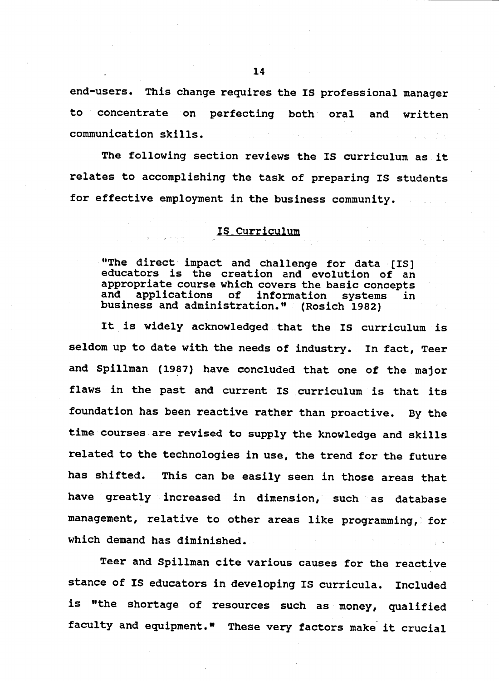end-users. This change requires the IS professional manager to concentrate on perfecting both oral and written communication skills.

The following section reviews the IS curriculum as it relates to accomplishing the task of preparing IS students for effective employment in the business community.

## IS Curriculum

"The direct impact and challenge for data [IS] educators is the creation and evolution of an appropriate course which covers the basic concepts applications of information and systems in business and administration." (Rosich 1982)

It is widely acknowledged that the IS curriculum is seldom up to date with the needs of industry. In fact, Teer and Spillman (1987) have concluded that one of the major flaws in the past and current IS curriculum is that its foundation has been reactive rather than proactive. By the time courses are revised to supply the knowledge and skills related to the technologies in use, the trend for the future This can be easily seen in those areas that has shifted. have greatly increased in dimension, such as database management, relative to other areas like programming, for which demand has diminished.

Teer and Spillman cite various causes for the reactive stance of IS educators in developing IS curricula. Included is "the shortage of resources such as money, qualified faculty and equipment." These very factors make it crucial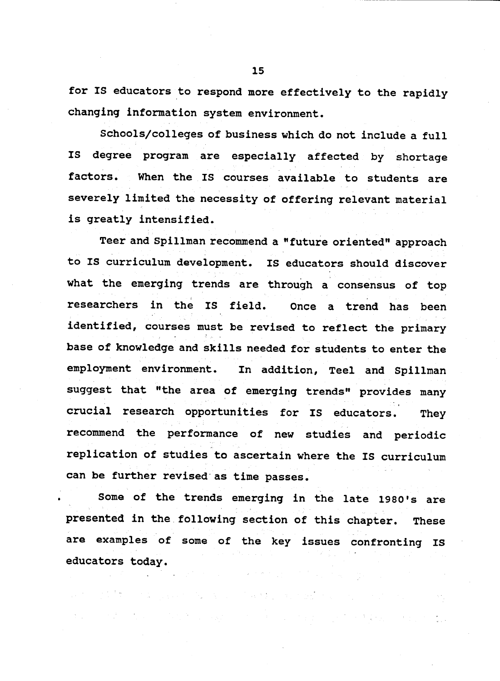for IS educators to respond more effectively to the rapidly changing information system environment.

Schools/colleges of business which do not include a full **IS** degree program are especially affected by shortage factors. When the IS courses available to students are severely limited the necessity of offering relevant material is greatly intensified.

Teer and Spillman recommend a "future oriented" approach to IS curriculum development. IS educators should discover what the emerging trends are through a consensus of top researchers in the IS field. Once a trend has been identified, courses must be revised to reflect the primary base of knowledge and skills needed for students to enter the employment environment. In addition, Teel and Spillman suggest that "the area of emerging trends" provides many crucial research opportunities for IS educators. They recommend the performance of new studies and periodic replication of studies to ascertain where the IS curriculum can be further revised as time passes.

Some of the trends emerging in the late 1980's are presented in the following section of this chapter. **These** are examples of some of the key issues confronting IS educators today.

 $\label{eq:2.1} \mathcal{L}(\mathcal{A})=\mathcal{L}(\mathcal{A})\mathcal{L}(\mathcal{A})=\mathcal{L}(\mathcal{A})\mathcal{L}(\mathcal{A})\mathcal{L}(\mathcal{A})\mathcal{L}(\mathcal{A})\mathcal{L}(\mathcal{A})\mathcal{L}(\mathcal{A})\mathcal{L}(\mathcal{A})\mathcal{L}(\mathcal{A})\mathcal{L}(\mathcal{A})\mathcal{L}(\mathcal{A})\mathcal{L}(\mathcal{A})\mathcal{L}(\mathcal{A})\mathcal{L}(\mathcal{A})\mathcal{L}(\mathcal{A})\mathcal{L}(\$ 

的第三人称形式 South Andrews South Andrews State South Andrews State State

 $\sim$  100 M  $_{\odot}$  , and the second contribution of the SM  $_{\odot}$  , and the second contribution of the second contribution of the second contribution of the second contribution of the second contribution of the second co

15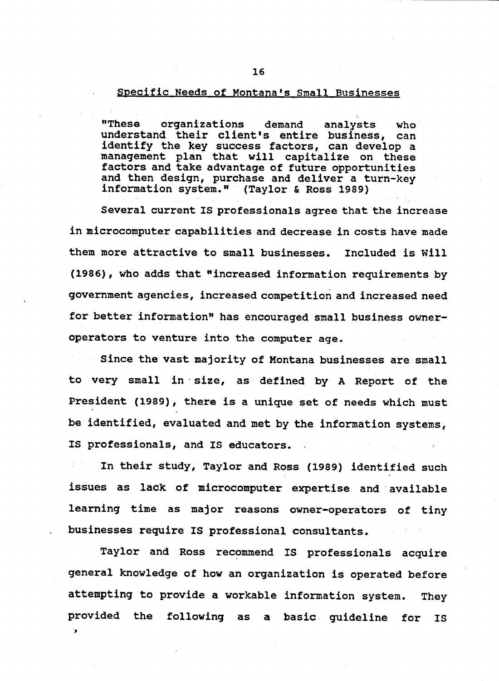## Specific Needs of Montana's Small Businesses

**"These** organizations demand analysts who understand their client's entire business, can identify the key success factors, can develop a management plan that will capitalize on these factors and take advantage of future opportunities and then design, purchase and deliver a turn-key information system." (Taylor & Ross 1989)

Several current IS professionals agree that the increase in microcomputer capabilities and decrease in costs have made them more attractive to small businesses. Included is Will (1986), who adds that "increased information requirements by government agencies, increased competition and increased need for better information" has encouraged small business owneroperators to venture into the computer age.

Since the vast majority of Montana businesses are small to very small in size, as defined by A Report of the President (1989), there is a unique set of needs which must be identified, evaluated and met by the information systems, IS professionals, and IS educators.

In their study, Taylor and Ross (1989) identified such issues as lack of microcomputer expertise and available learning time as major reasons owner-operators of tiny businesses require IS professional consultants.

Taylor and Ross recommend IS professionals acquire general knowledge of how an organization is operated before attempting to provide a workable information system. They provided the following as a basic guideline for **IS** 

 $\mathbf{v}$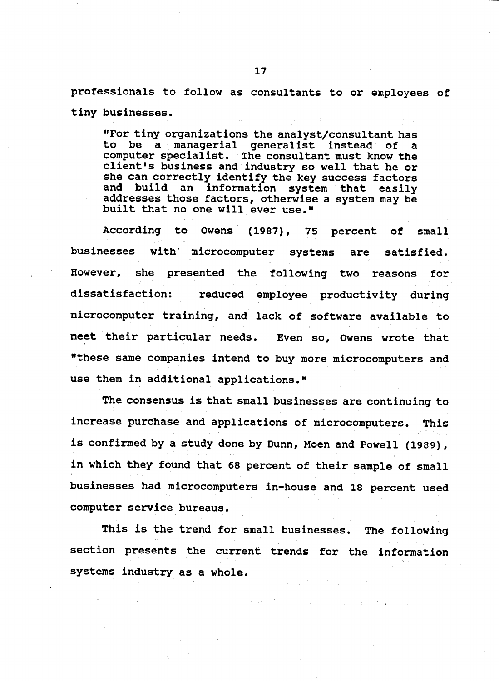professionals to follow as consultants to or employees of tiny businesses.

"For tiny organizations the analyst/consultant has to be a managerial generalist instead of a computer specialist. The consultant must know the client's business and industry so well that he or she can correctly identify the key success factors and build an information system that easily addresses those factors, otherwise a system may be built that no one will ever use."

According to Owens (1987), 75 percent  $of$  $small$ businesses with microcomputer systems are satisfied. However, she presented the following two reasons for dissatisfaction: reduced employee productivity during microcomputer training, and lack of software available to meet their particular needs. Even so, Owens wrote that "these same companies intend to buy more microcomputers and use them in additional applications."

The consensus is that small businesses are continuing to increase purchase and applications of microcomputers. This is confirmed by a study done by Dunn, Moen and Powell (1989), in which they found that 68 percent of their sample of small businesses had microcomputers in-house and 18 percent used computer service bureaus.

This is the trend for small businesses. The following section presents the current trends for the information systems industry as a whole.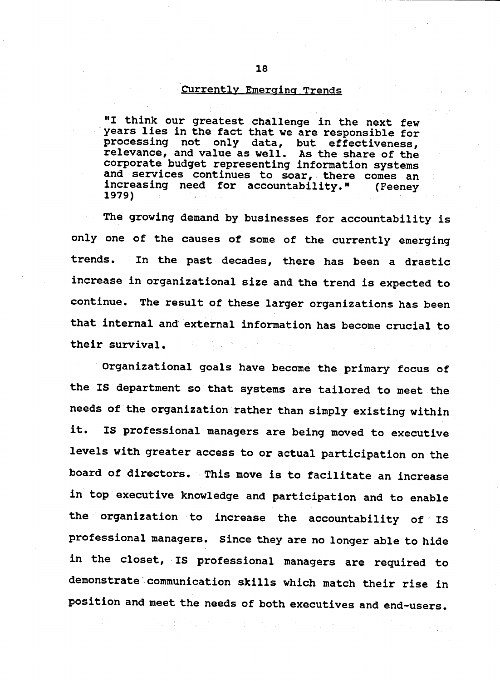#### Currently Emerging Trends

"I think our greatest challenge in the next few years lies in the fact that we are responsible for processing not only data, but effectiveness,<br>relevance, and value as well. As the share of the<br>corporate budget representing information systems and services continues to soar, there comes an increasing need for accountability." (Feeney) 1979)

The growing demand by businesses for accountability is only one of the causes of some of the currently emerging In the past decades, there has been a drastic trends. increase in organizational size and the trend is expected to continue. The result of these larger organizations has been that internal and external information has become crucial to their survival.

Organizational goals have become the primary focus of the IS department so that systems are tailored to meet the needs of the organization rather than simply existing within IS professional managers are being moved to executive it. levels with greater access to or actual participation on the board of directors. This move is to facilitate an increase in top executive knowledge and participation and to enable the organization to increase the accountability of IS professional managers. Since they are no longer able to hide in the closet, IS professional managers are required to demonstrate communication skills which match their rise in position and meet the needs of both executives and end-users.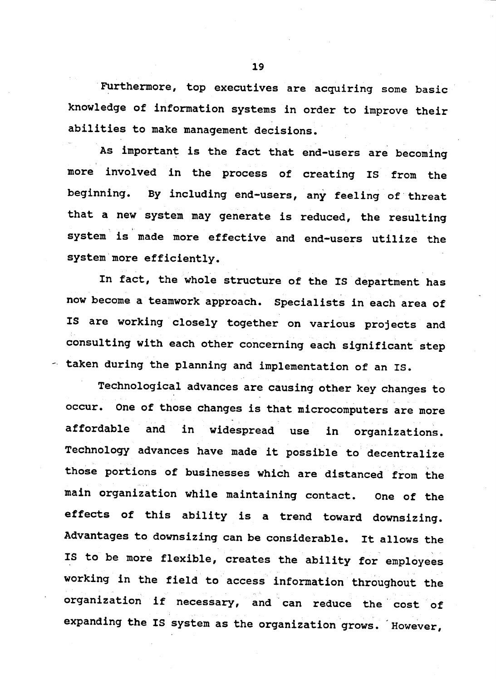Furthermore, top executives are acquiring some basic knowledge of information systems in order to improve their abilities to make management decisions.

As important is the fact that end-users are becoming more involved in the process of creating IS from the beginning. By including end-users, any feeling of threat that a new system may generate is reduced, the resulting system is made more effective and end-users utilize the system more efficiently.

In fact, the whole structure of the IS department has now become a teamwork approach. Specialists in each area of IS are working closely together on various projects and consulting with each other concerning each significant step - taken during the planning and implementation of an IS.

Technological advances are causing other key changes to occur. One of those changes is that microcomputers are more affordable and widespread use in organizations. in Technology advances have made it possible to decentralize those portions of businesses which are distanced from the main organization while maintaining contact. One of the effects of this ability is a trend toward downsizing. Advantages to downsizing can be considerable. It allows the IS to be more flexible, creates the ability for employees working in the field to access information throughout the organization if necessary, and can reduce the cost of expanding the IS system as the organization grows. However,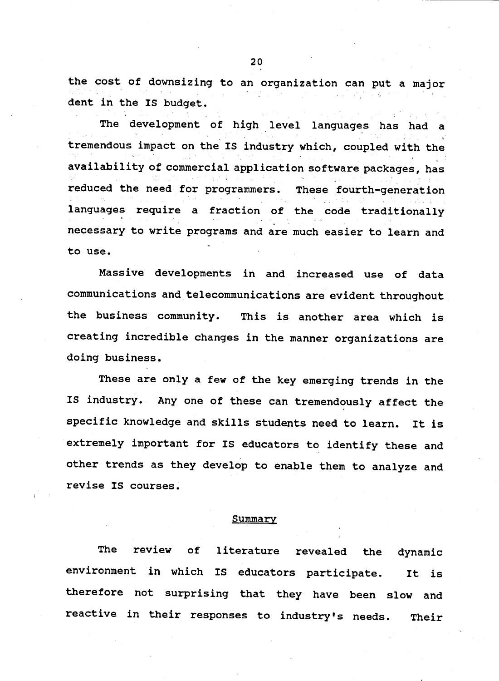the cost of downsizing to an organization can put a major dent in the IS budget.

The development of high level languages has had a tremendous impact on the IS industry which, coupled with the availability of commercial application software packages, has reduced the need for programmers. These fourth-generation languages require a fraction of the code traditionally necessary to write programs and are much easier to learn and to use.

Massive developments in and increased use of data communications and telecommunications are evident throughout the business community. This is another area which is creating incredible changes in the manner organizations are doing business.

These are only a few of the key emerging trends in the IS industry. Any one of these can tremendously affect the specific knowledge and skills students need to learn. It is extremely important for IS educators to identify these and other trends as they develop to enable them to analyze and revise IS courses.

#### Summary

The review  $of$ literature revealed the dynamic environment in which IS educators participate. It is therefore not surprising that they have been slow and reactive in their responses to industry's needs. Their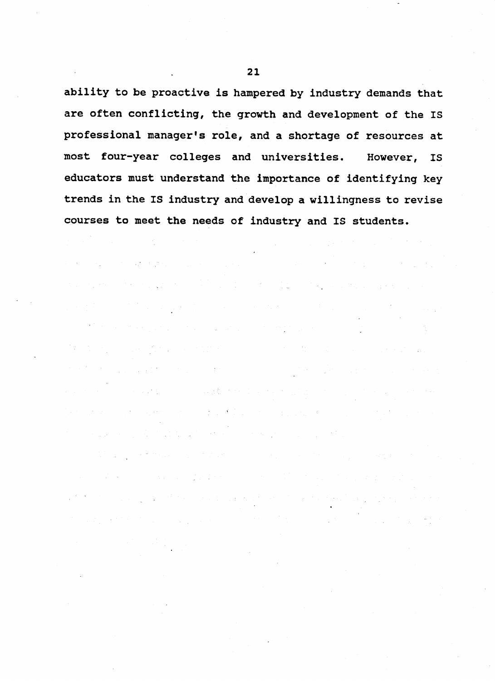ability to be proactive is hampered by industry demands that are often conflicting, the growth and development of the IS professional manager's role, and a shortage of resources at most four-year colleges and universities. However. IS educators must understand the importance of identifying key trends in the IS industry and develop a willingness to revise courses to meet the needs of industry and IS students.

and the company of the company of the company of the company of the company of the company of the company of the company of the company of the company of the company of the company of the company of the company of the comp

 $\mathcal{O}(10^{-3})$  . The contract of the contract of the contract of the contract of the contract of the contract of the contract of the contract of the contract of the contract of the contract of the contract of the contract

**Contract Contract** 

 $\label{eq:2.1} \frac{1}{\sqrt{2\pi}}\frac{1}{\sqrt{2\pi}}\int_{0}^{\infty}\frac{1}{\sqrt{2\pi}}\left(\frac{1}{\sqrt{2\pi}}\int_{0}^{\infty}\frac{1}{\sqrt{2\pi}}\left(\frac{1}{\sqrt{2\pi}}\int_{0}^{\infty}\frac{1}{\sqrt{2\pi}}\right)\frac{1}{\sqrt{2\pi}}\right)\frac{1}{\sqrt{2\pi}}\frac{1}{\sqrt{2\pi}}\frac{1}{\sqrt{2\pi}}\frac{1}{\sqrt{2\pi}}\frac{1}{\sqrt{2\pi}}\frac{1}{\sqrt{2\pi}}\frac{1}{\sqrt{$ 

**The Second Company of the Second Company of the Company of the Second** 

计文件设备 医杜尔氏征 医囊肿样炎 计可变变化 医单位的

where the contribution of the state of the state of the state of the state of the state of the state of the state of the state of the state of the state of the state of the state of the state of the state of the state of

 $\mathcal{L}(\mathcal{L}^{\mathcal{L}})$  and the set of the set of the set of the set of the set of the set of the set of the set of the set of the set of the set of the set of the set of the set of the set of the set of the set of the set

**《新闻》中的《新闻》中的《新闻》中的《** 

(1) 100 (1) 120 (1) 130 (1) 130 (1) 130 (1) 130 (1) 130 (1) 130 (1) 130 (1) 130 (1) 130 (1) 130 (1) 130 (1) 13

and the same production of the contract of the same of the same of the same of the specific stage of the contract of

- 2

 $\mathcal{L}_{\text{max}}(\mathcal{X})$  .

 $\sim 10^{11}$   $\mu$ 

 $\sim 10^{-1}$ 

 $\mathcal{L}^{\mathcal{L}}$  . The contribution of the contribution of the contribution of  $\mathcal{L}^{\mathcal{L}}$ 

 $21$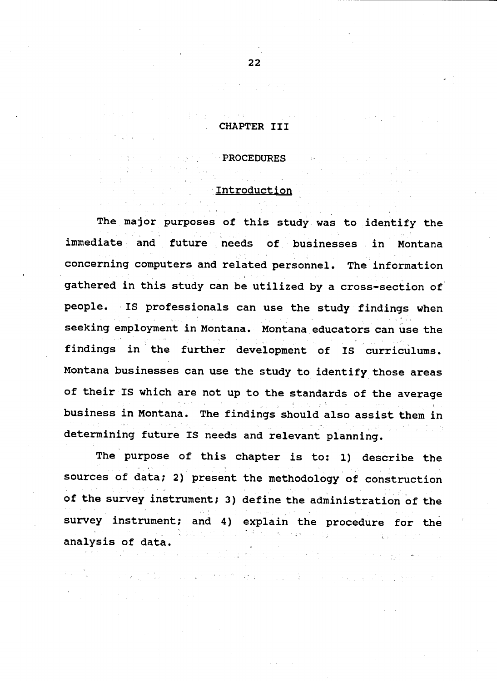## CHAPTER III

**PROCEDURES** 

## Introduction

The major purposes of this study was to identify the immediate and future needs of businesses in Montana concerning computers and related personnel. The information gathered in this study can be utilized by a cross-section of people. IS professionals can use the study findings when seeking employment in Montana. Montana educators can use the findings in the further development of IS curriculums. Montana businesses can use the study to identify those areas of their IS which are not up to the standards of the average business in Montana. The findings should also assist them in determining future IS needs and relevant planning.

The purpose of this chapter is to: 1) describe the sources of data; 2) present the methodology of construction of the survey instrument; 3) define the administration of the survey instrument; and 4) explain the procedure for the analysis of data.

n a Michael B

 $\mathcal{F}^{\mathcal{A}}_{\mathcal{A}}$  is a function of the set of the set of the set of the set of the set of the set of the set of the set of the set of the set of the set of the set of the set of the set of the set of the set of the s

and the first state of the state of the state of

 $22$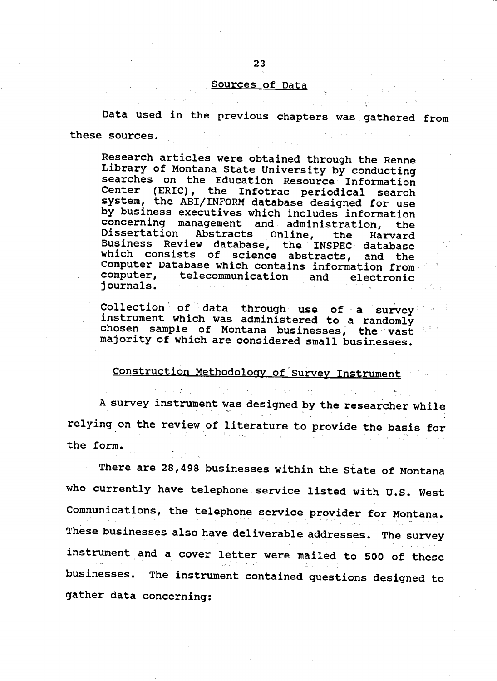## Sources of Data

Data used in the previous chapters was gathered from these sources.

Research articles were obtained through the Renne Library of Montana State University by conducting searches on the Education Resource Information Center (ERIC), the Infotrac periodical search system, the ABI/INFORM database designed for use by business executives which includes information concerning management and administration, the Dissertation Abstracts Online, the Harvard<br>Business Review database, the INSPEC database which consists of science abstracts, and the Computer Database which contains information from telecommunication and computer, electronic journals.

Collection of data through use of a survey instrument which was administered to a randomly chosen sample of Montana businesses, the vast majority of which are considered small businesses.

# Construction Methodology of Survey Instrument

A survey instrument was designed by the researcher while relying on the review of literature to provide the basis for the form.

There are 28,498 businesses within the State of Montana who currently have telephone service listed with U.S. West Communications, the telephone service provider for Montana. These businesses also have deliverable addresses. The survey instrument and a cover letter were mailed to 500 of these businesses. The instrument contained questions designed to gather data concerning: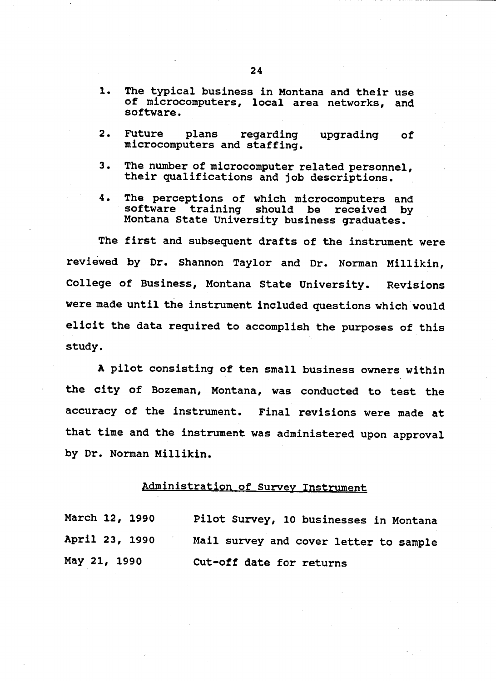- 1. The typical business in Montana and their use of microcomputers, local area networks, and software.
- $2.$ **Future** plans regarding upqrading 0f microcomputers and staffing.
- The number of microcomputer related personnel, З. their qualifications and job descriptions.
- The perceptions of which microcomputers and 4. software training should be received by Montana State University business graduates.

The first and subsequent drafts of the instrument were reviewed by Dr. Shannon Taylor and Dr. Norman Millikin, College of Business, Montana State University. Revisions were made until the instrument included questions which would elicit the data required to accomplish the purposes of this study.

A pilot consisting of ten small business owners within the city of Bozeman, Montana, was conducted to test the accuracy of the instrument. Final revisions were made at that time and the instrument was administered upon approval by Dr. Norman Millikin.

#### **Administration of Survey Instrument**

March 12, 1990 Pilot Survey, 10 businesses in Montana April 23, 1990 Mail survey and cover letter to sample May 21, 1990 Cut-off date for returns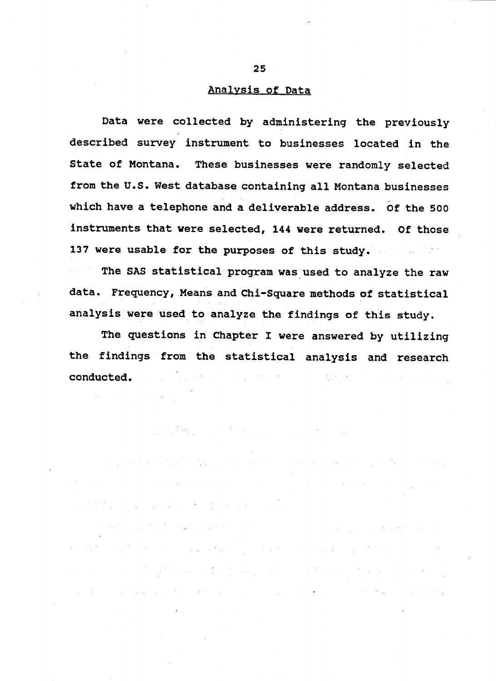## Analysis of Data

Data were collected by administering the previously described survey instrument to businesses located in the State of Montana. These businesses were randomly selected from the U.S. West database containing all Montana businesses which have a telephone and a deliverable address. Of the 500 instruments that were selected, 144 were returned. Of those 137 were usable for the purposes of this study.

The SAS statistical program was used to analyze the raw data. Frequency, Means and Chi-Square methods of statistical analysis were used to analyze the findings of this study.

The questions in Chapter I were answered by utilizing the findings from the statistical analysis and research an<br>1980 - Andrea Brazil, prima politika internazionale della Carlo della Carlo della Carlo della Carlo della Car<br>1980 - Carlo della Carlo della Carlo della Carlo della Carlo della Carlo della Carlo della Carlo della Carlo conducted.

and the second and the policy of the second conditions of the second construction of the

a de tempo de la construcción de la construcción de la construcción de la construcción de la tempo de la const<br>En 1930, el construcción de la construcción de la construcción de la construcción de la construcción de la con

机电线管 医胸膜下的 医血管下腺炎 网络阿尔巴尔 医骨折 医血管反射 医血管反射 医血管下腺

,我们的人们都会在这么大的时候,我们的人们也不会在这里的人们,我们的人们也不会在这里的时候,我们的

 $\label{eq:2.1} \frac{1}{\sqrt{2}}\int_{\mathbb{R}^{2}}\left|\frac{1}{\sqrt{2}}\left(\frac{1}{\sqrt{2}}\right)^{2}e^{-\frac{1}{2}\left(\frac{1}{\sqrt{2}}\right)}\right|^{2}e^{-\frac{1}{2}}\left(\frac{1}{\sqrt{2}}\right)^{2}e^{-\frac{1}{2}\left(\frac{1}{\sqrt{2}}\right)}\frac{1}{\sqrt{2}}e^{-\frac{1}{2}\left(\frac{1}{\sqrt{2}}\right)}\frac{1}{\sqrt{2}}e^{-\frac{1}{2}\left(\frac{1}{\sqrt{2}}\right)}\frac{1}{\sqrt{2}}e^{-\frac$ 

 $\label{eq:2.1} \mathcal{L}(\mathcal{L}^{\mathcal{A}}_{\mathcal{A}}(\mathcal{A})) = \mathcal{L}(\mathcal{L}^{\mathcal{A}}_{\mathcal{A}}(\mathcal{A})) = \mathcal{L}(\mathcal{L}^{\mathcal{A}}_{\mathcal{A}}(\mathcal{A})) = \mathcal{L}(\mathcal{L}^{\mathcal{A}}_{\mathcal{A}}(\mathcal{A})) = \mathcal{L}(\mathcal{L}^{\mathcal{A}}_{\mathcal{A}}(\mathcal{A})) = \mathcal{L}(\mathcal{L}^{\mathcal{A}}_{\mathcal{A}}(\mathcal{A})) = \mathcal{L}(\mathcal{L}^$ 

 $\label{eq:2.1} \mathcal{L}_{\mathcal{G}}\left(\mathbb{E}\left[\mathcal{L}_{\mathcal{G}}\right]\right) = \mathcal{L}_{\mathcal{G}}\left(\mathcal{L}_{\mathcal{G}}\right) = \mathcal{L}_{\mathcal{G}}\left(\mathcal{L}_{\mathcal{G}}\right) = \mathcal{L}_{\mathcal{G}}\left(\mathcal{L}_{\mathcal{G}}\right) = \mathcal{L}_{\mathcal{G}}\left(\mathcal{L}_{\mathcal{G}}\right) = \mathcal{L}_{\mathcal{G}}\left(\mathcal{L}_{\mathcal{G}}\right) = \mathcal{L}_{\mathcal{G}}\left(\mathcal{L}_{\math$ 

 $25 -$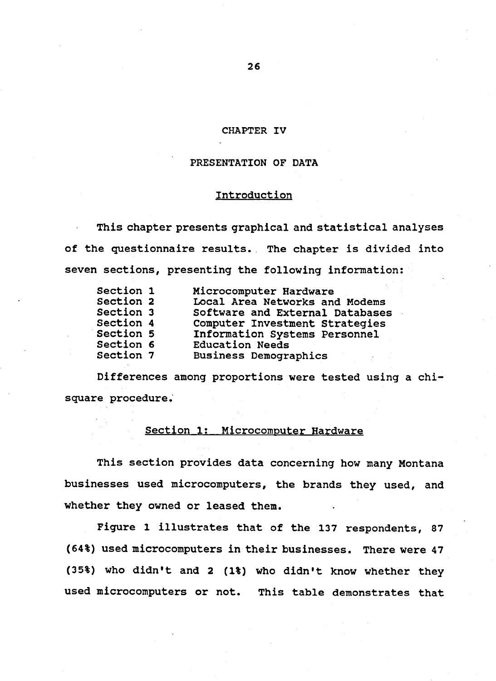#### CHAPTER IV

## PRESENTATION OF DATA

## Introduction

This chapter presents graphical and statistical analyses of the questionnaire results. The chapter is divided into seven sections, presenting the following information:

| Section 1 | Microcomputer Hardware          |
|-----------|---------------------------------|
| Section 2 | Local Area Networks and Modems  |
| Section 3 | Software and External Databases |
| Section 4 | Computer Investment Strategies  |
| Section 5 | Information Systems Personnel   |
| Section 6 | <b>Education Needs</b>          |
| Section 7 | <b>Business Demographics</b>    |

Differences among proportions were tested using a chisquare procedure.

## Section 1: Microcomputer Hardware

This section provides data concerning how many Montana businesses used microcomputers, the brands they used, and whether they owned or leased them.

Figure 1 illustrates that of the 137 respondents, 87 (64%) used microcomputers in their businesses. There were 47 (35%) who didn't and 2 (1%) who didn't know whether they used microcomputers or not. This table demonstrates that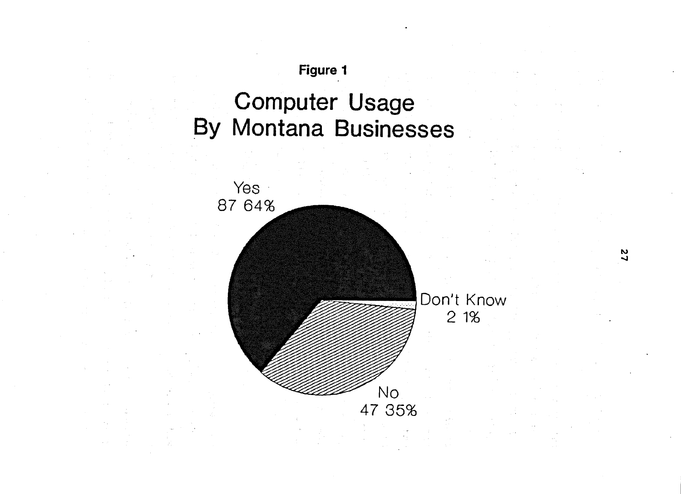# **Computer Usage By Montana Businesses**

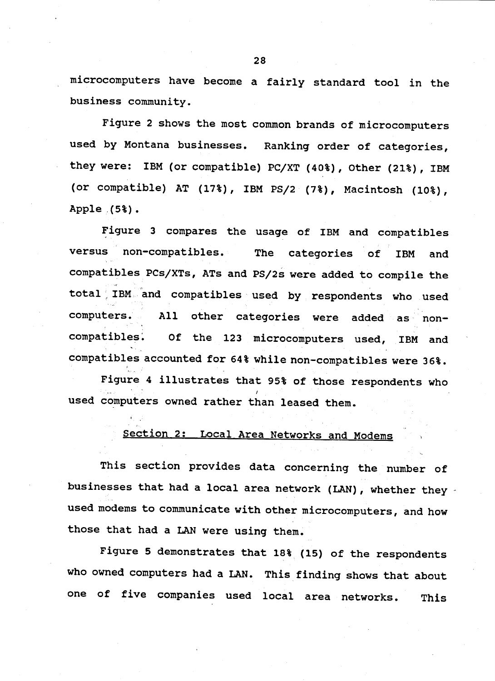microcomputers have become a fairly standard tool in the business community.

Figure 2 shows the most common brands of microcomputers used by Montana businesses. Ranking order of categories, they were: IBM (or compatible) PC/XT (40%), Other (21%), IBM (or compatible) AT (17%), IBM PS/2 (7%), Macintosh (10%), Apple  $(5)$ .

Figure 3 compares the usage of IBM and compatibles versus non-compatibles. The categories of **IBM** and compatibles PCs/XTs, ATs and PS/2s were added to compile the total IBM and compatibles used by respondents who used computers. All other categories were added as noncompatibles. Of the 123 microcomputers used, IBM and compatibles accounted for 64% while non-compatibles were 36%.

Figure 4 illustrates that 95% of those respondents who used computers owned rather than leased them.

#### Section 2: Local Area Networks and Modems

This section provides data concerning the number of businesses that had a local area network (LAN), whether they used modems to communicate with other microcomputers, and how those that had a LAN were using them.

Figure 5 demonstrates that 18% (15) of the respondents who owned computers had a LAN. This finding shows that about one of five companies used local area networks. This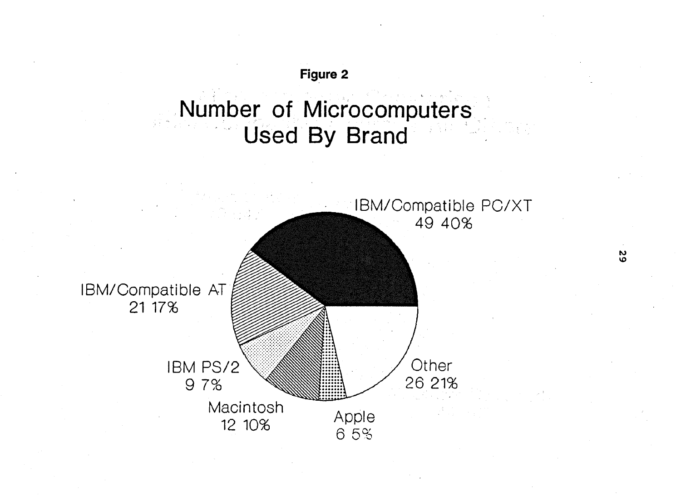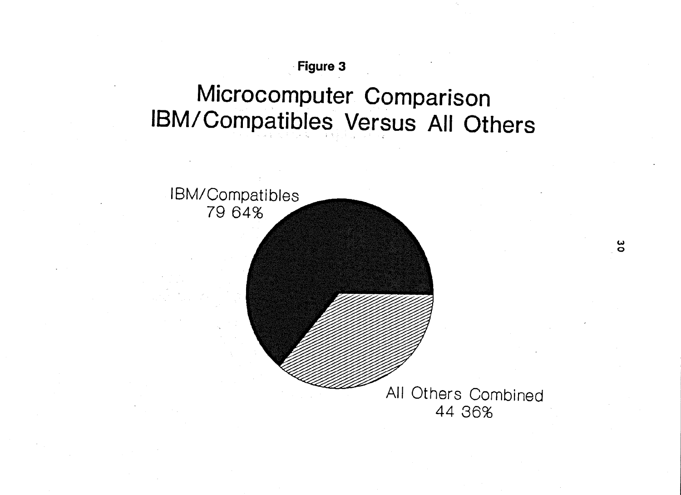

ပိ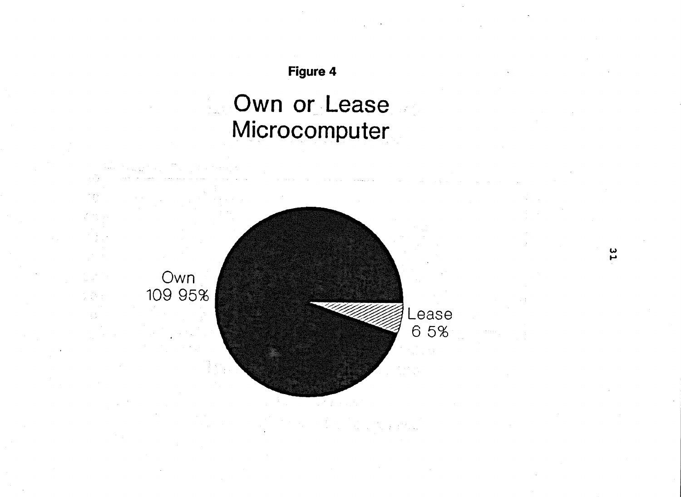### Own or Lease  $\mathcal{L}^{(1)}$ Microcomputer



 $\mathbb{R}^{2\times 2}$  .  $\mathbb{R}^2$ 

s en

 $\frac{2}{1}$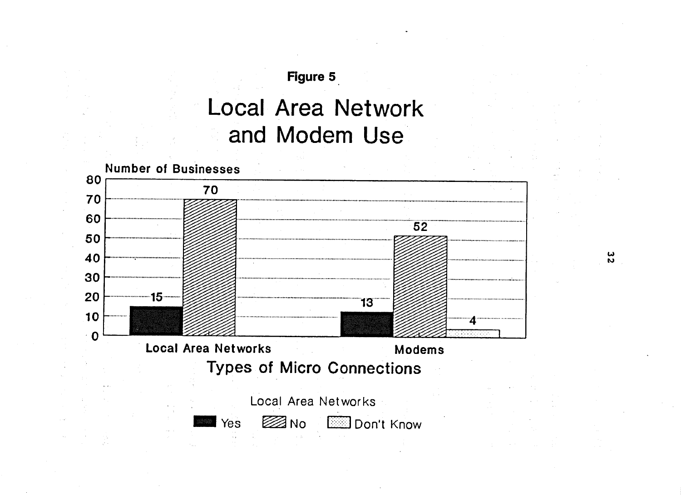## **Local Area Network** and Modem Use



 $\frac{2}{2}$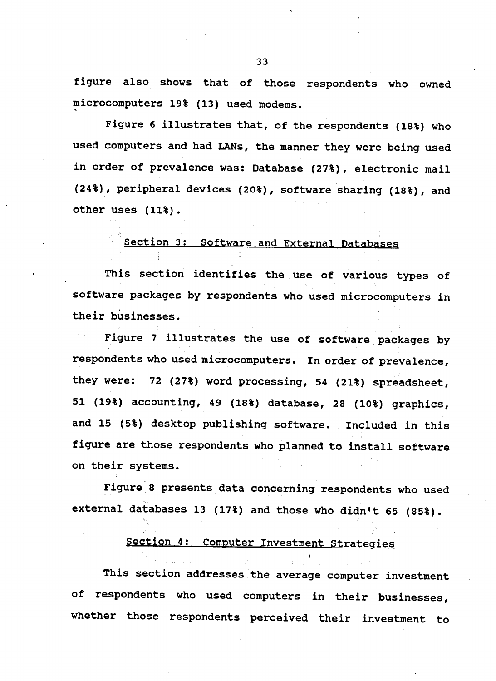figure also shows that of those respondents who owned microcomputers 19% (13) used modems.

Figure 6 illustrates that, of the respondents (18%) who used computers and had LANs, the manner they were being used in order of prevalence was: Database (27%), electronic mail (24%), peripheral devices (20%), software sharing (18%), and other uses (11%).

#### Section 3: Software and External Databases

This section identifies the use of various types of software packages by respondents who used microcomputers in their businesses.

Figure 7 illustrates the use of software packages by respondents who used microcomputers. In order of prevalence, they were: 72 (27%) word processing, 54 (21%) spreadsheet, 51 (19%) accounting, 49 (18%) database, 28 (10%) graphics, and 15 (5%) desktop publishing software. Included in this figure are those respondents who planned to install software on their systems.

Figure 8 presents data concerning respondents who used external databases 13 (17%) and those who didn't 65 (85%).

#### Section 4: Computer Investment Strategies

This section addresses the average computer investment of respondents who used computers in their businesses, whether those respondents perceived their investment to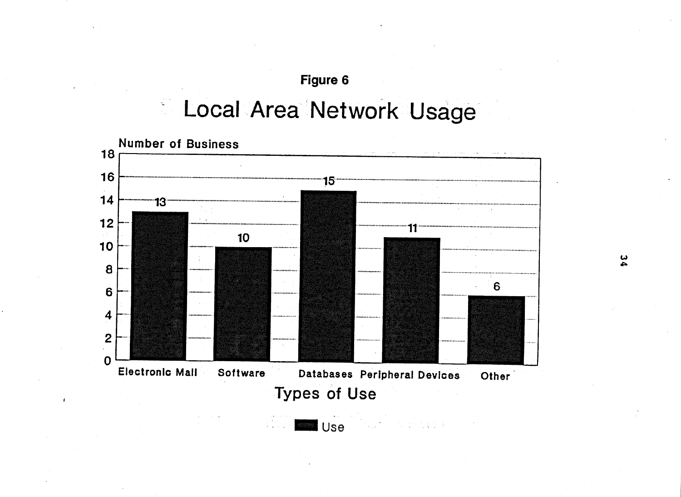#### Local Area Network Usage  $\frac{\partial \mathbf{w}}{\partial \mathbf{w}}$



ှ<br>4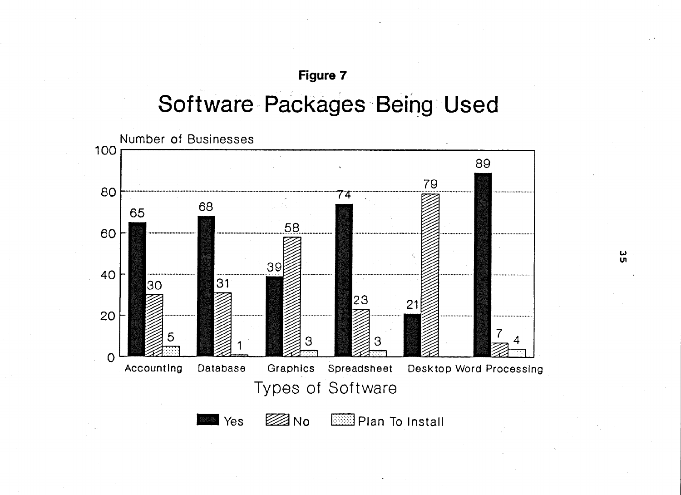## Software Packages Being Used

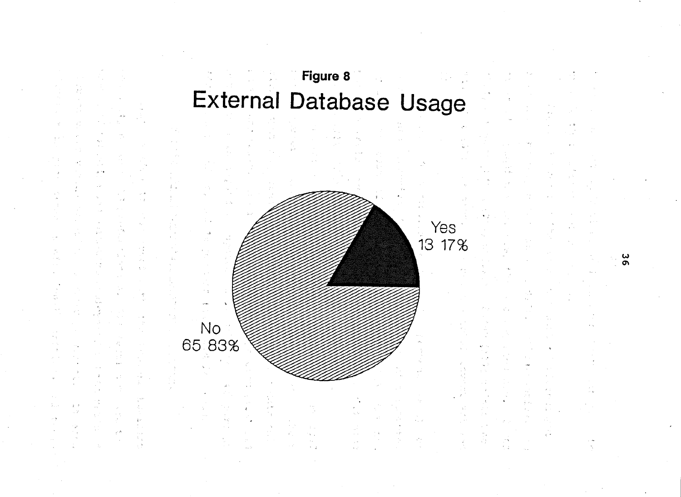# Figure 8 External Database Usage



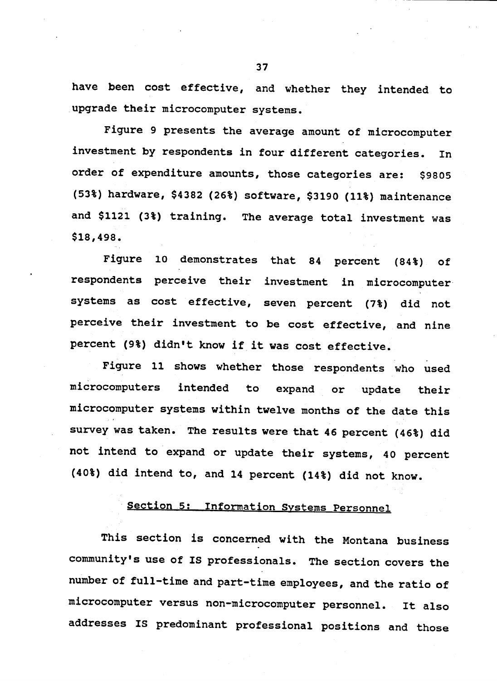have been cost effective, and whether they intended to upgrade their microcomputer systems.

Figure 9 presents the average amount of microcomputer investment by respondents in four different categories. In order of expenditure amounts, those categories are: \$9805 (53%) hardware, \$4382 (26%) software, \$3190 (11%) maintenance and \$1121 (3%) training. The average total investment was \$18,498.

Figure 10 demonstrates that 84 percent (84%) of respondents perceive their investment in microcomputer systems as cost effective, seven percent (7%) did not perceive their investment to be cost effective, and nine percent (9%) didn't know if it was cost effective.

Figure 11 shows whether those respondents who used microcomputers intended to. expand or update their microcomputer systems within twelve months of the date this survey was taken. The results were that 46 percent (46%) did not intend to expand or update their systems, 40 percent (40%) did intend to, and 14 percent (14%) did not know.

#### Section 5: Information Systems Personnel

This section is concerned with the Montana business community's use of IS professionals. The section covers the number of full-time and part-time employees, and the ratio of microcomputer versus non-microcomputer personnel. It also addresses IS predominant professional positions and those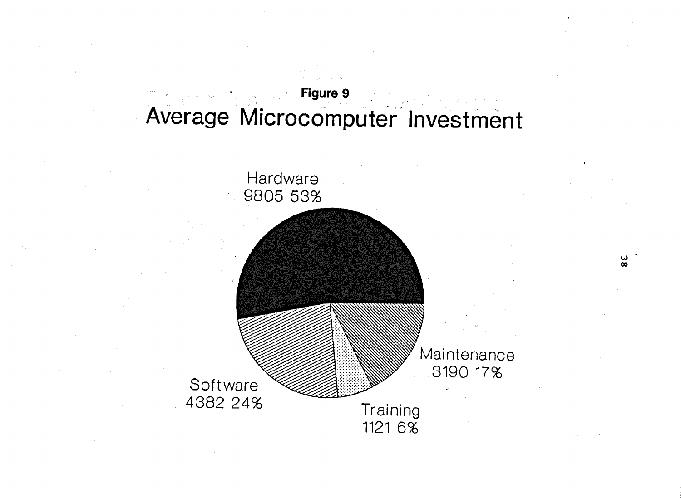## Figure 9 Average Microcomputer Investment



 $\frac{2}{8}$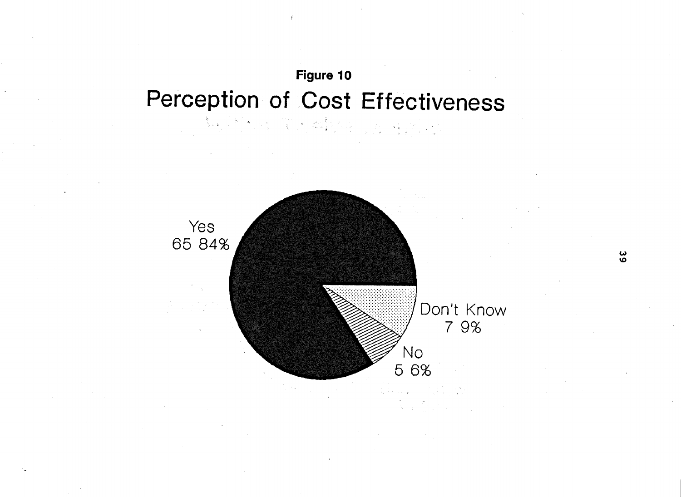## Figure 10 Perception of Cost Effectiveness

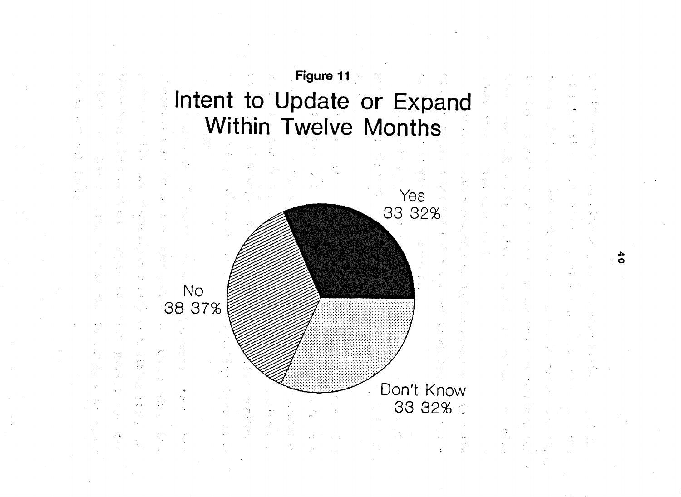## Figure 11 Intent to Update or Expand Within Twelve Months



 $\ddot{\bullet}$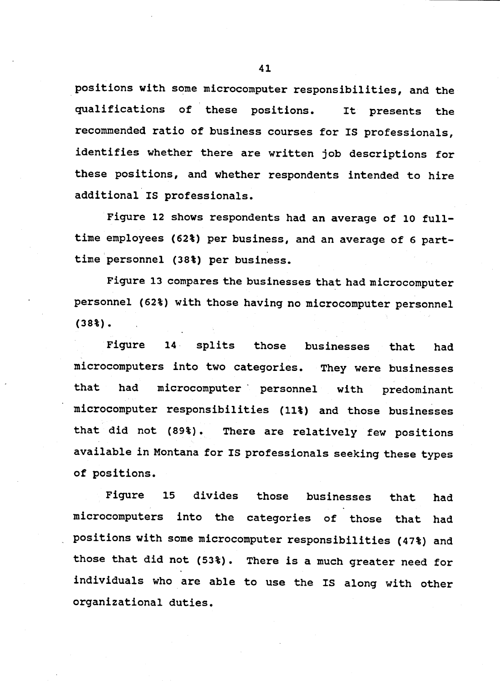positions with some microcomputer responsibilities, and the qualifications of these positions. It presents the recommended ratio of business courses for IS professionals, identifies whether there are written job descriptions for these positions, and whether respondents intended to hire additional IS professionals.

Figure 12 shows respondents had an average of 10 fulltime employees (62%) per business, and an average of 6 parttime personnel (38%) per business.

Figure 13 compares the businesses that had microcomputer personnel (62%) with those having no microcomputer personnel  $(38<sup>2</sup>)$ .

Fiqure  $14$ splits those businesses that had microcomputers into two categories. They were businesses that microcomputer personnel with had predominant microcomputer responsibilities (11%) and those businesses that did not (89%). There are relatively few positions available in Montana for IS professionals seeking these types of positions.

divides Fiqure  $15<sub>2</sub>$ those businesses that had microcomputers into the categories of those that had positions with some microcomputer responsibilities (47%) and those that did not (53%). There is a much greater need for individuals who are able to use the IS along with other organizational duties.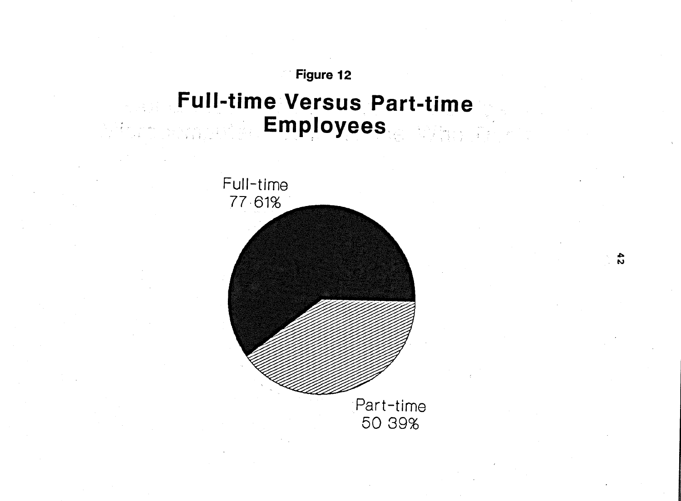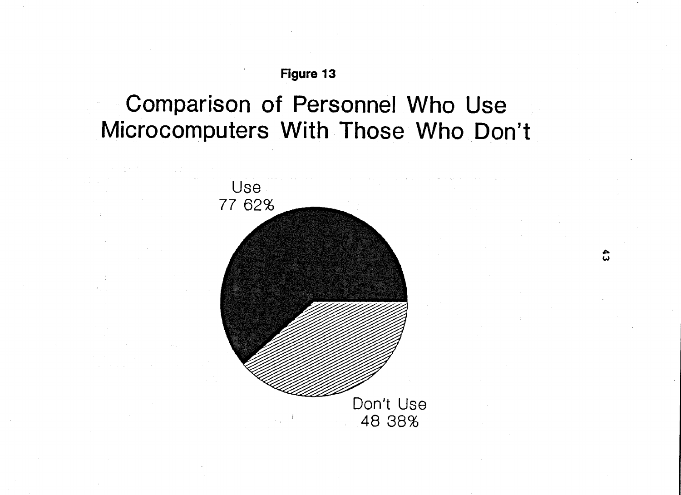## Comparison of Personnel Who Use Microcomputers With Those Who Don't